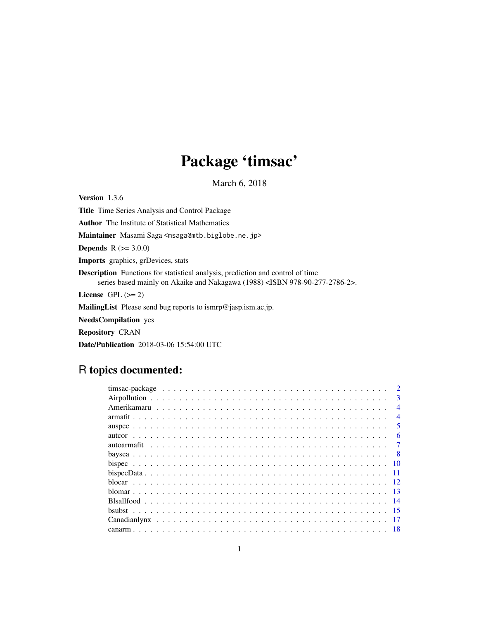# Package 'timsac'

March 6, 2018

<span id="page-0-0"></span>Version 1.3.6 Title Time Series Analysis and Control Package Author The Institute of Statistical Mathematics Maintainer Masami Saga <msaga@mtb.biglobe.ne.jp> **Depends**  $R (= 3.0.0)$ Imports graphics, grDevices, stats Description Functions for statistical analysis, prediction and control of time series based mainly on Akaike and Nakagawa (1988) <ISBN 978-90-277-2786-2>. License GPL  $(>= 2)$ MailingList Please send bug reports to ismrp@jasp.ism.ac.jp. NeedsCompilation yes Repository CRAN

Date/Publication 2018-03-06 15:54:00 UTC

# R topics documented:

|  | $\mathcal{D}$  |
|--|----------------|
|  | $\mathbf{3}$   |
|  | $\overline{4}$ |
|  | $\overline{4}$ |
|  | 5              |
|  | 6              |
|  |                |
|  |                |
|  |                |
|  |                |
|  |                |
|  | -13            |
|  |                |
|  |                |
|  |                |
|  |                |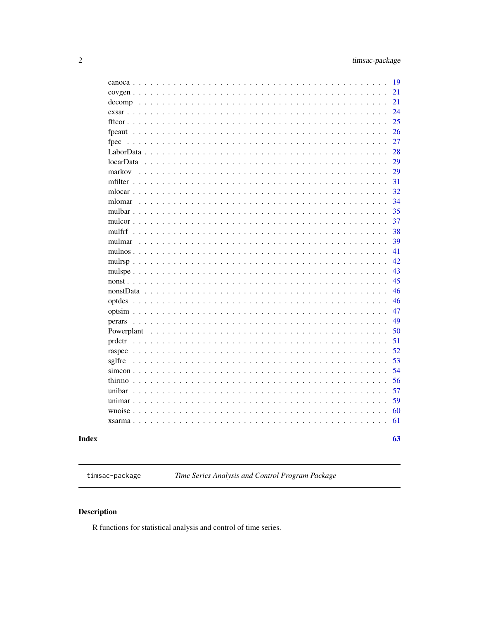<span id="page-1-0"></span>

|                                                   | 19 |
|---------------------------------------------------|----|
| $\sim$ $\sim$                                     | 21 |
| decomp                                            | 21 |
|                                                   | 24 |
|                                                   | 25 |
|                                                   | 26 |
| fpec                                              | 27 |
|                                                   | 28 |
|                                                   | 29 |
| markov                                            | 29 |
|                                                   | 31 |
| mlocar                                            | 32 |
| mlomar<br>$\mathbb{R}^2$                          | 34 |
| mulbar                                            | 35 |
| $mulcor \ldots \ldots$                            | 37 |
|                                                   | 38 |
| mulmar                                            | 39 |
| mulnos $\ldots$                                   | 41 |
|                                                   | 42 |
|                                                   | 43 |
| $n$ onst                                          | 45 |
|                                                   | 46 |
|                                                   | 46 |
| $\ddots$                                          | 47 |
|                                                   | 49 |
| Powerplant                                        | 50 |
| prdctr                                            | 51 |
| raspec $\ldots$<br>$\ddotsc$                      | 52 |
| sglfre                                            | 53 |
| simeon                                            | 54 |
|                                                   | 56 |
| unibar                                            | 57 |
|                                                   | 59 |
|                                                   | 60 |
| $x\text{sarma}$<br>$\ddot{\phantom{0}}$<br>$\sim$ | 61 |
|                                                   |    |
|                                                   | 63 |

# **Index**

timsac-package

Time Series Analysis and Control Program Package

## Description

R functions for statistical analysis and control of time series.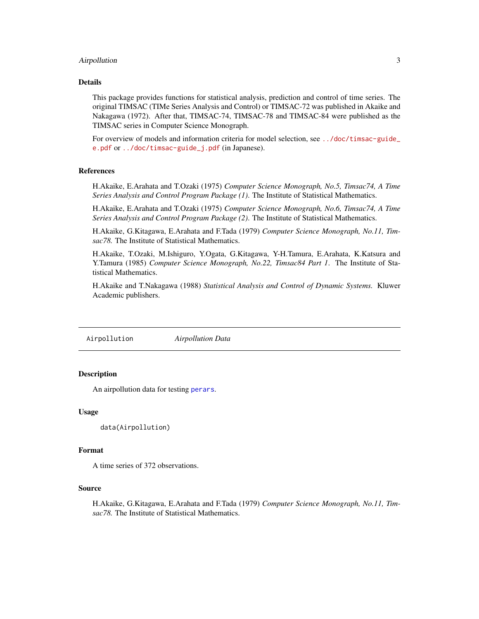## <span id="page-2-0"></span>Airpollution 3

## Details

This package provides functions for statistical analysis, prediction and control of time series. The original TIMSAC (TIMe Series Analysis and Control) or TIMSAC-72 was published in Akaike and Nakagawa (1972). After that, TIMSAC-74, TIMSAC-78 and TIMSAC-84 were published as the TIMSAC series in Computer Science Monograph.

For overview of models and information criteria for model selection, see [../doc/timsac-guide\\_](../doc/timsac-guide_e.pdf) [e.pdf](../doc/timsac-guide_e.pdf) or [../doc/timsac-guide\\_j.pdf](../doc/timsac-guide_j.pdf) (in Japanese).

#### References

H.Akaike, E.Arahata and T.Ozaki (1975) *Computer Science Monograph, No.5, Timsac74, A Time Series Analysis and Control Program Package (1)*. The Institute of Statistical Mathematics.

H.Akaike, E.Arahata and T.Ozaki (1975) *Computer Science Monograph, No.6, Timsac74, A Time Series Analysis and Control Program Package (2)*. The Institute of Statistical Mathematics.

H.Akaike, G.Kitagawa, E.Arahata and F.Tada (1979) *Computer Science Monograph, No.11, Timsac78.* The Institute of Statistical Mathematics.

H.Akaike, T.Ozaki, M.Ishiguro, Y.Ogata, G.Kitagawa, Y-H.Tamura, E.Arahata, K.Katsura and Y.Tamura (1985) *Computer Science Monograph, No.22, Timsac84 Part 1*. The Institute of Statistical Mathematics.

H.Akaike and T.Nakagawa (1988) *Statistical Analysis and Control of Dynamic Systems.* Kluwer Academic publishers.

Airpollution *Airpollution Data*

## Description

An airpollution data for testing [perars](#page-48-1).

#### Usage

```
data(Airpollution)
```
#### Format

A time series of 372 observations.

#### Source

H.Akaike, G.Kitagawa, E.Arahata and F.Tada (1979) *Computer Science Monograph, No.11, Timsac78.* The Institute of Statistical Mathematics.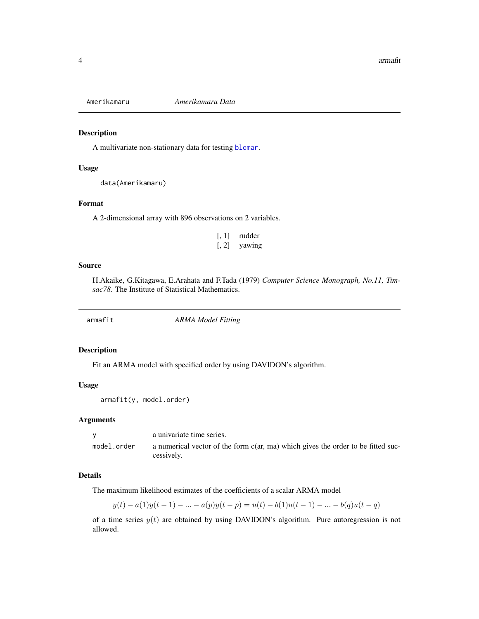<span id="page-3-0"></span>

## Description

A multivariate non-stationary data for testing [blomar](#page-12-1).

## Usage

```
data(Amerikamaru)
```
## Format

A 2-dimensional array with 896 observations on 2 variables.

| $\left[ 1, 1 \right]$ | rudder |
|-----------------------|--------|
| $\left[ 1, 2 \right]$ | yawing |

#### Source

H.Akaike, G.Kitagawa, E.Arahata and F.Tada (1979) *Computer Science Monograph, No.11, Timsac78.* The Institute of Statistical Mathematics.

armafit *ARMA Model Fitting*

## Description

Fit an ARMA model with specified order by using DAVIDON's algorithm.

## Usage

armafit(y, model.order)

#### Arguments

|             | a univariate time series.                                                                      |
|-------------|------------------------------------------------------------------------------------------------|
| model.order | a numerical vector of the form c(ar, ma) which gives the order to be fitted suc-<br>cessively. |

## Details

The maximum likelihood estimates of the coefficients of a scalar ARMA model

$$
y(t) - a(1)y(t-1) - \dots - a(p)y(t-p) = u(t) - b(1)u(t-1) - \dots - b(q)u(t-q)
$$

of a time series  $y(t)$  are obtained by using DAVIDON's algorithm. Pure autoregression is not allowed.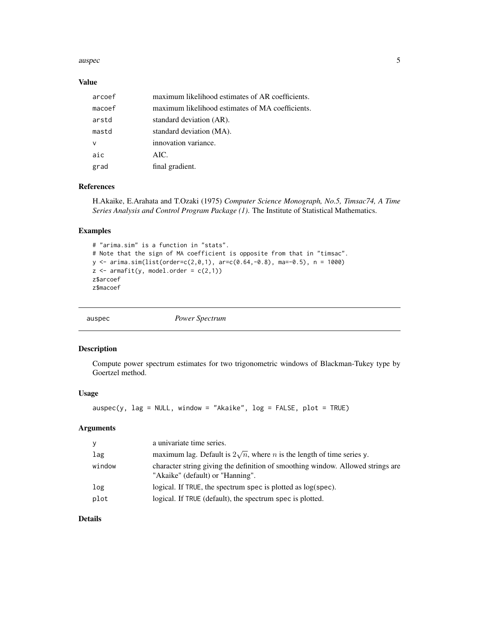#### <span id="page-4-0"></span>auspec 5

#### Value

| arcoef | maximum likelihood estimates of AR coefficients. |
|--------|--------------------------------------------------|
| macoef | maximum likelihood estimates of MA coefficients. |
| arstd  | standard deviation (AR).                         |
| mastd  | standard deviation (MA).                         |
| ν      | innovation variance.                             |
| aic    | AIC.                                             |
| grad   | final gradient.                                  |

## References

H.Akaike, E.Arahata and T.Ozaki (1975) *Computer Science Monograph, No.5, Timsac74, A Time Series Analysis and Control Program Package (1)*. The Institute of Statistical Mathematics.

#### Examples

```
# "arima.sim" is a function in "stats".
# Note that the sign of MA coefficient is opposite from that in "timsac".
y <- arima.sim(list(order=c(2,0,1), ar=c(0.64,-0.8), ma=-0.5), n = 1000)
z \leftarrow \text{armafit}(y, \text{ model}.\text{order} = c(2,1))z$arcoef
z$macoef
```

| auspec | Power Spectrum |
|--------|----------------|
|        |                |

## Description

Compute power spectrum estimates for two trigonometric windows of Blackman-Tukey type by Goertzel method.

#### Usage

```
\text{auspec}(y, \text{ lag} = \text{NULL}, \text{window} = \text{"Akaike", log} = \text{FALSE}, \text{plot} = \text{TRUE})
```
## Arguments

| <b>y</b> | a univariate time series.                                                                                           |
|----------|---------------------------------------------------------------------------------------------------------------------|
| lag      | maximum lag. Default is $2\sqrt{n}$ , where <i>n</i> is the length of time series y.                                |
| window   | character string giving the definition of smoothing window. Allowed strings are<br>"Akaike" (default) or "Hanning". |
| log      | logical. If TRUE, the spectrum spec is plotted as $log(spec)$ .                                                     |
| plot     | logical. If TRUE (default), the spectrum spec is plotted.                                                           |

## Details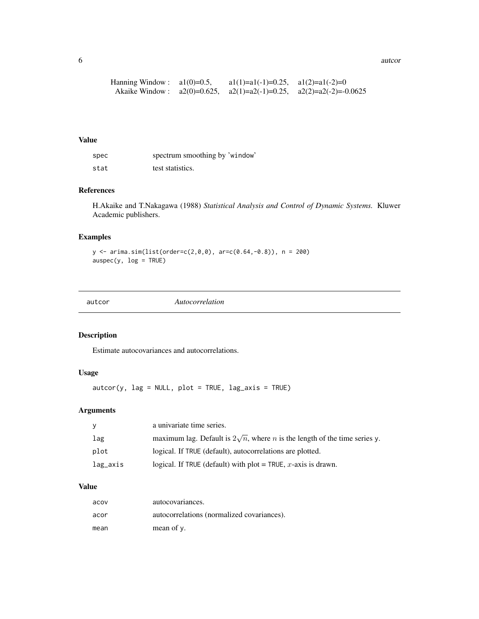<span id="page-5-0"></span>6 autor and the contract of the contract of the contract of the contract of the contract of the contract of the contract of the contract of the contract of the contract of the contract of the contract of the contract of th

| Hanning Window : $a1(0)=0.5$ , | $a1(1)=a1(-1)=0.25$ , $a1(2)=a1(-2)=0$ |                                                                            |
|--------------------------------|----------------------------------------|----------------------------------------------------------------------------|
|                                |                                        | Akaike Window: $a2(0)=0.625$ , $a2(1)=a2(-1)=0.25$ , $a2(2)=a2(-2)=0.0625$ |

#### Value

| spec | spectrum smoothing by 'window' |
|------|--------------------------------|
| stat | test statistics.               |

## References

H.Akaike and T.Nakagawa (1988) *Statistical Analysis and Control of Dynamic Systems.* Kluwer Academic publishers.

## Examples

 $y \le -\arima.sim(list(order=c(2,0,0), arc=c(0.64,-0.8)), n = 200)$  $\text{auspec}(y, \text{ log} = \text{TRUE})$ 

autcor *Autocorrelation*

## Description

Estimate autocovariances and autocorrelations.

## Usage

autcor(y, lag = NULL, plot = TRUE, lag\_axis = TRUE)

## Arguments

| V        | a univariate time series.                                                                |
|----------|------------------------------------------------------------------------------------------|
| lag      | maximum lag. Default is $2\sqrt{n}$ , where <i>n</i> is the length of the time series y. |
| plot     | logical. If TRUE (default), autocorrelations are plotted.                                |
| lag_axis | logical. If TRUE (default) with plot = TRUE, x-axis is drawn.                            |

| acov | autocovariances.                           |
|------|--------------------------------------------|
| acor | autocorrelations (normalized covariances). |
| mean | mean of y.                                 |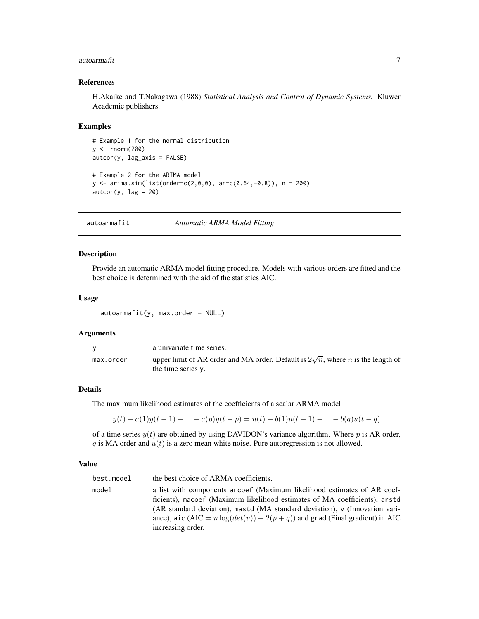#### <span id="page-6-0"></span>autoarmafit 7

#### References

H.Akaike and T.Nakagawa (1988) *Statistical Analysis and Control of Dynamic Systems.* Kluwer Academic publishers.

#### Examples

```
# Example 1 for the normal distribution
y <- rnorm(200)
autcor(y, lag_axis = FALSE)
# Example 2 for the ARIMA model
y <- arima.sim(list(order=c(2,0,0), ar=c(0.64,-0.8)), n = 200)
\text{autcor}(y, \text{ lag} = 20)
```
autoarmafit *Automatic ARMA Model Fitting*

#### Description

Provide an automatic ARMA model fitting procedure. Models with various orders are fitted and the best choice is determined with the aid of the statistics AIC.

#### Usage

```
autoarmafit(y, max.order = NULL)
```
#### Arguments

|           | a univariate time series.                                                                                            |
|-----------|----------------------------------------------------------------------------------------------------------------------|
| max.order | upper limit of AR order and MA order. Default is $2\sqrt{n}$ , where <i>n</i> is the length of<br>the time series y. |

#### Details

The maximum likelihood estimates of the coefficients of a scalar ARMA model

$$
y(t) - a(1)y(t-1) - \dots - a(p)y(t-p) = u(t) - b(1)u(t-1) - \dots - b(q)u(t-q)
$$

of a time series  $y(t)$  are obtained by using DAVIDON's variance algorithm. Where p is AR order, q is MA order and  $u(t)$  is a zero mean white noise. Pure autoregression is not allowed.

#### Value

best.model the best choice of ARMA coefficients. model a list with components arcoef (Maximum likelihood estimates of AR coefficients), macoef (Maximum likelihood estimates of MA coefficients), arstd (AR standard deviation), mastd (MA standard deviation), v (Innovation variance), aic (AIC =  $n \log(det(v)) + 2(p+q))$  and grad (Final gradient) in AIC increasing order.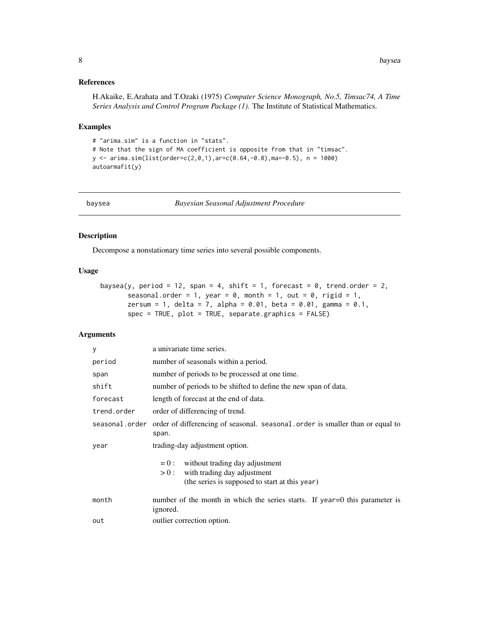## <span id="page-7-0"></span>References

H.Akaike, E.Arahata and T.Ozaki (1975) *Computer Science Monograph, No.5, Timsac74, A Time Series Analysis and Control Program Package (1)*. The Institute of Statistical Mathematics.

#### Examples

```
# "arima.sim" is a function in "stats".
# Note that the sign of MA coefficient is opposite from that in "timsac".
y \le -\arima.sim(list(order=c(2,0,1),ar=c(0.64,-0.8),ma=-0.5), n = 1000)autoarmafit(y)
```
baysea *Bayesian Seasonal Adjustment Procedure*

#### Description

Decompose a nonstationary time series into several possible components.

## Usage

```
baysea(y, period = 12, span = 4, shift = 1, forecast = 0, trend.order = 2,
       seasonal.order = 1, year = 0, month = 1, out = 0, rigid = 1,
       zersum = 1, delta = 7, alpha = 0.01, beta = 0.01, gamma = 0.1,
       spec = TRUE, plot = TRUE, separate.graphics = FALSE)
```

| У              | a univariate time series.                                                                                                            |  |
|----------------|--------------------------------------------------------------------------------------------------------------------------------------|--|
| period         | number of seasonals within a period.                                                                                                 |  |
| span           | number of periods to be processed at one time.                                                                                       |  |
| shift          | number of periods to be shifted to define the new span of data.                                                                      |  |
| forecast       | length of forecast at the end of data.                                                                                               |  |
| trend.order    | order of differencing of trend.                                                                                                      |  |
| seasonal.order | order of differencing of seasonal. seasonal. order is smaller than or equal to<br>span.                                              |  |
| year           | trading-day adjustment option.                                                                                                       |  |
|                | without trading day adjustment<br>$= 0$ :<br>with trading day adjustment<br>$>0$ :<br>(the series is supposed to start at this year) |  |
| month          | number of the month in which the series starts. If year=0 this parameter is<br>ignored.                                              |  |
| out            | outlier correction option.                                                                                                           |  |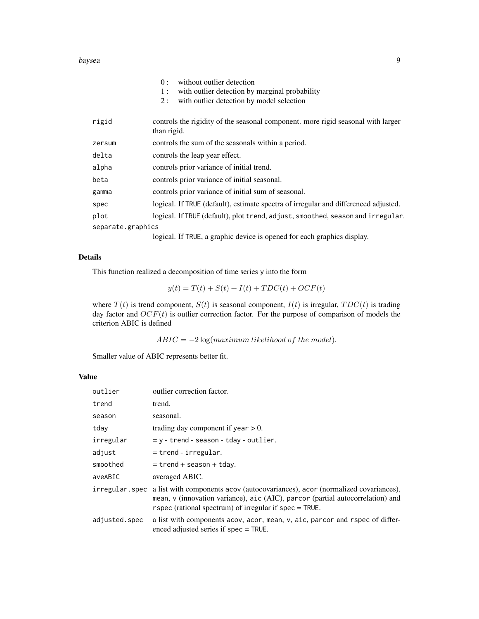#### baysea 9

|                   | without outlier detection<br>0:<br>with outlier detection by marginal probability<br>1:<br>with outlier detection by model selection<br>2: |
|-------------------|--------------------------------------------------------------------------------------------------------------------------------------------|
| rigid             | controls the rigidity of the seasonal component. more rigid seasonal with larger<br>than rigid.                                            |
| zersum            | controls the sum of the seasonals within a period.                                                                                         |
| delta             | controls the leap year effect.                                                                                                             |
| alpha             | controls prior variance of initial trend.                                                                                                  |
| beta              | controls prior variance of initial seasonal.                                                                                               |
| gamma             | controls prior variance of initial sum of seasonal.                                                                                        |
| spec              | logical. If TRUE (default), estimate spectra of irregular and differenced adjusted.                                                        |
| plot              | logical. If TRUE (default), plot trend, adjust, smoothed, season and irregular.                                                            |
| separate.graphics |                                                                                                                                            |
|                   |                                                                                                                                            |

logical. If TRUE, a graphic device is opened for each graphics display.

## Details

This function realized a decomposition of time series y into the form

$$
y(t) = T(t) + S(t) + I(t) + TDC(t) + OCF(t)
$$

where  $T(t)$  is trend component,  $S(t)$  is seasonal component,  $I(t)$  is irregular,  $TDC(t)$  is trading day factor and  $OCF(t)$  is outlier correction factor. For the purpose of comparison of models the criterion ABIC is defined

 $ABIC = -2 \log (maximum likelihood of the model).$ 

Smaller value of ABIC represents better fit.

| outlier        | outlier correction factor.                                                                                                                                                                                                    |
|----------------|-------------------------------------------------------------------------------------------------------------------------------------------------------------------------------------------------------------------------------|
| trend          | trend.                                                                                                                                                                                                                        |
| season         | seasonal.                                                                                                                                                                                                                     |
| tday           | trading day component if year $> 0$ .                                                                                                                                                                                         |
| irregular      | $y - r$ - trend - season - tday - outlier.                                                                                                                                                                                    |
| adjust         | $=$ trend - irregular.                                                                                                                                                                                                        |
| smoothed       | $=$ trend + season + tday.                                                                                                                                                                                                    |
| aveABIC        | averaged ABIC.                                                                                                                                                                                                                |
| irregular.spec | a list with components acov (autocovariances), acor (normalized covariances),<br>mean, v (innovation variance), aic (AIC), parcor (partial autocorrelation) and<br>r spec (rational spectrum) of irregular if $spec = TRUE$ . |
| adjusted.spec  | a list with components acov, acor, mean, v, aic, parcor and rspec of differ-<br>enced adjusted series if spec = TRUE.                                                                                                         |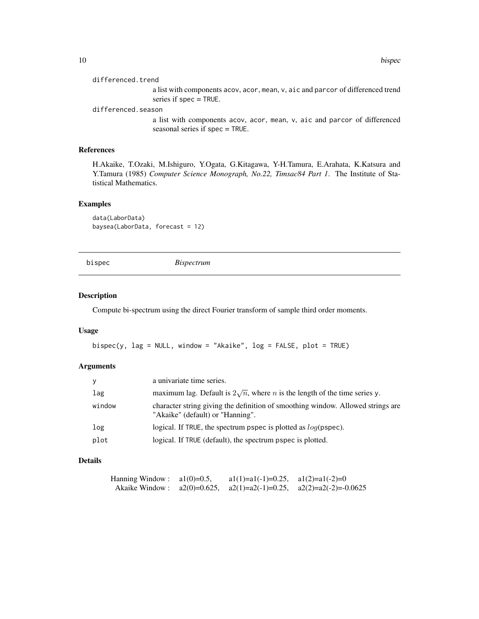#### <span id="page-9-0"></span>differenced.trend

a list with components acov, acor, mean, v, aic and parcor of differenced trend series if spec = TRUE.

#### differenced.season

a list with components acov, acor, mean, v, aic and parcor of differenced seasonal series if spec = TRUE.

## References

H.Akaike, T.Ozaki, M.Ishiguro, Y.Ogata, G.Kitagawa, Y-H.Tamura, E.Arahata, K.Katsura and Y.Tamura (1985) *Computer Science Monograph, No.22, Timsac84 Part 1*. The Institute of Statistical Mathematics.

#### Examples

data(LaborData) baysea(LaborData, forecast = 12)

<span id="page-9-1"></span>bispec *Bispectrum*

#### Description

Compute bi-spectrum using the direct Fourier transform of sample third order moments.

## Usage

 $bispec(y, lag = NULL, window = "Akaike", log = FALSE, plot = TRUE)$ 

#### Arguments

| y      | a univariate time series.                                                                                           |
|--------|---------------------------------------------------------------------------------------------------------------------|
| lag    | maximum lag. Default is $2\sqrt{n}$ , where <i>n</i> is the length of the time series y.                            |
| window | character string giving the definition of smoothing window. Allowed strings are<br>"Akaike" (default) or "Hanning". |
| log    | logical. If TRUE, the spectrum pspec is plotted as $log(pspec)$ .                                                   |
| plot   | logical. If TRUE (default), the spectrum pspec is plotted.                                                          |

## Details

| Hanning Window : $a1(0)=0.5$ , | $a1(1)=a1(-1)=0.25$ , $a1(2)=a1(-2)=0$ |                                                                            |
|--------------------------------|----------------------------------------|----------------------------------------------------------------------------|
|                                |                                        | Akaike Window: $a2(0)=0.625$ , $a2(1)=a2(-1)=0.25$ , $a2(2)=a2(-2)=0.0625$ |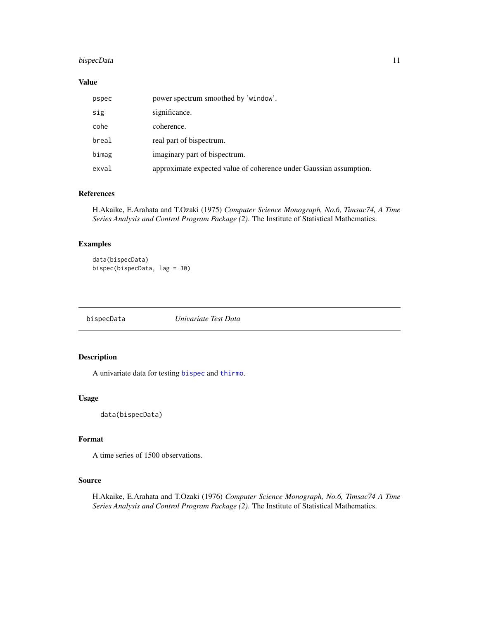## <span id="page-10-0"></span>bispecData 11

## Value

| pspec | power spectrum smoothed by 'window'.                               |
|-------|--------------------------------------------------------------------|
| sig   | significance.                                                      |
| cohe  | coherence.                                                         |
| breal | real part of bispectrum.                                           |
| bimag | imaginary part of bispectrum.                                      |
| exval | approximate expected value of coherence under Gaussian assumption. |

## References

H.Akaike, E.Arahata and T.Ozaki (1975) *Computer Science Monograph, No.6, Timsac74, A Time Series Analysis and Control Program Package (2)*. The Institute of Statistical Mathematics.

## Examples

```
data(bispecData)
bispec(bispecData, lag = 30)
```
bispecData *Univariate Test Data*

## Description

A univariate data for testing [bispec](#page-9-1) and [thirmo](#page-55-1).

#### Usage

data(bispecData)

## Format

A time series of 1500 observations.

#### Source

H.Akaike, E.Arahata and T.Ozaki (1976) *Computer Science Monograph, No.6, Timsac74 A Time Series Analysis and Control Program Package (2)*. The Institute of Statistical Mathematics.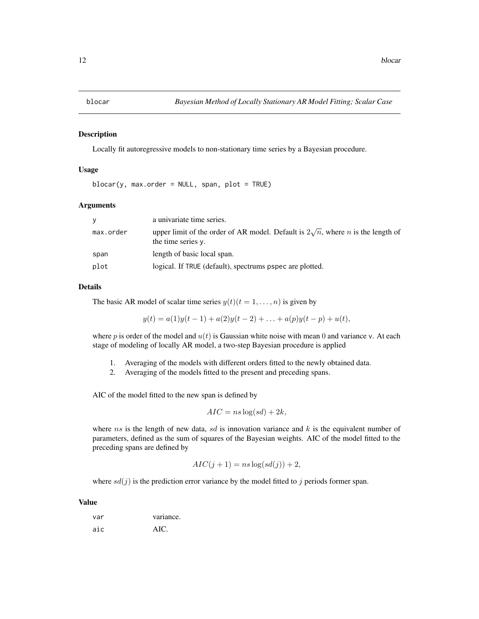<span id="page-11-1"></span><span id="page-11-0"></span>

#### Description

Locally fit autoregressive models to non-stationary time series by a Bayesian procedure.

#### Usage

blocar(y, max.order = NULL, span, plot = TRUE)

#### Arguments

| <b>V</b>  | a univariate time series.                                                                                            |
|-----------|----------------------------------------------------------------------------------------------------------------------|
| max.order | upper limit of the order of AR model. Default is $2\sqrt{n}$ , where <i>n</i> is the length of<br>the time series y. |
| span      | length of basic local span.                                                                                          |
| plot      | logical. If TRUE (default), spectrums pspec are plotted.                                                             |

#### Details

The basic AR model of scalar time series  $y(t)(t = 1, \ldots, n)$  is given by

$$
y(t) = a(1)y(t-1) + a(2)y(t-2) + \ldots + a(p)y(t-p) + u(t),
$$

where p is order of the model and  $u(t)$  is Gaussian white noise with mean 0 and variance v. At each stage of modeling of locally AR model, a two-step Bayesian procedure is applied

- 1. Averaging of the models with different orders fitted to the newly obtained data.
- 2. Averaging of the models fitted to the present and preceding spans.

AIC of the model fitted to the new span is defined by

$$
AIC = ns \log(sd) + 2k,
$$

where ns is the length of new data, sd is innovation variance and  $k$  is the equivalent number of parameters, defined as the sum of squares of the Bayesian weights. AIC of the model fitted to the preceding spans are defined by

$$
AIC(j + 1) = ns \log(s d(j)) + 2,
$$

where  $sd(j)$  is the prediction error variance by the model fitted to j periods former span.

| var | variance. |
|-----|-----------|
| aic | AIC.      |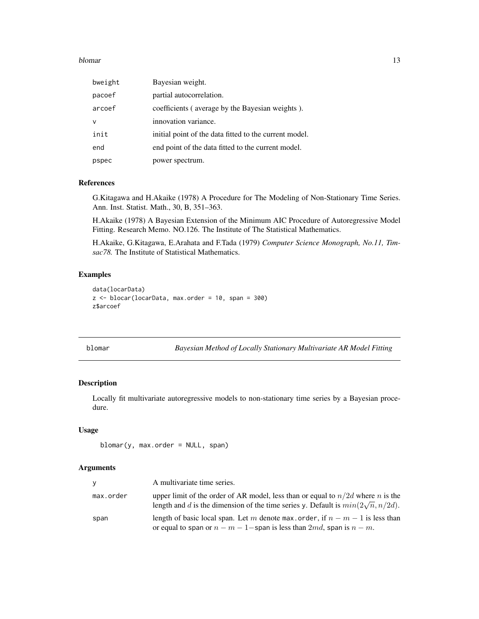#### <span id="page-12-0"></span>blomar and the state of the state of the state of the state of the state of the state of the state of the state of the state of the state of the state of the state of the state of the state of the state of the state of the

| bweight | Bayesian weight.                                       |
|---------|--------------------------------------------------------|
| pacoef  | partial autocorrelation.                               |
| arcoef  | coefficients (average by the Bayesian weights).        |
| ν       | innovation variance.                                   |
| init    | initial point of the data fitted to the current model. |
| end     | end point of the data fitted to the current model.     |
| pspec   | power spectrum.                                        |

## References

G.Kitagawa and H.Akaike (1978) A Procedure for The Modeling of Non-Stationary Time Series. Ann. Inst. Statist. Math., 30, B, 351–363.

H.Akaike (1978) A Bayesian Extension of the Minimum AIC Procedure of Autoregressive Model Fitting. Research Memo. NO.126. The Institute of The Statistical Mathematics.

H.Akaike, G.Kitagawa, E.Arahata and F.Tada (1979) *Computer Science Monograph, No.11, Timsac78.* The Institute of Statistical Mathematics.

## Examples

```
data(locarData)
z <- blocar(locarData, max.order = 10, span = 300)
z$arcoef
```
<span id="page-12-1"></span>blomar *Bayesian Method of Locally Stationary Multivariate AR Model Fitting*

## Description

Locally fit multivariate autoregressive models to non-stationary time series by a Bayesian procedure.

## Usage

```
blomar(y, max.order = NULL, span)
```

| <b>y</b>  | A multivariate time series.                                                                                                                                                  |
|-----------|------------------------------------------------------------------------------------------------------------------------------------------------------------------------------|
| max.order | upper limit of the order of AR model, less than or equal to $n/2d$ where n is the<br>length and d is the dimension of the time series y. Default is $min(2\sqrt{n}, n/2d)$ . |
| span      | length of basic local span. Let m denote max order, if $n - m - 1$ is less than<br>or equal to span or $n - m - 1$ - span is less than 2md, span is $n - m$ .                |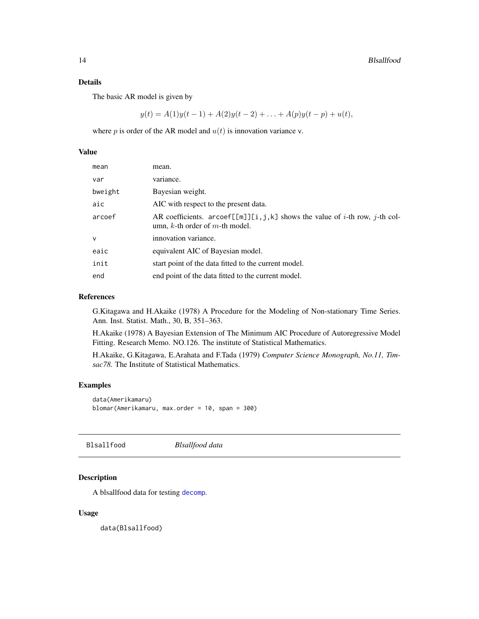#### <span id="page-13-0"></span>Details

The basic AR model is given by

 $y(t) = A(1)y(t-1) + A(2)y(t-2) + \ldots + A(p)y(t-p) + u(t),$ 

where p is order of the AR model and  $u(t)$  is innovation variance v.

#### Value

| mean         | mean.                                                                                                                           |
|--------------|---------------------------------------------------------------------------------------------------------------------------------|
| var          | variance.                                                                                                                       |
| bweight      | Bayesian weight.                                                                                                                |
| aic          | AIC with respect to the present data.                                                                                           |
| arcoef       | AR coefficients. arcoef[[m]][i,j,k] shows the value of <i>i</i> -th row, <i>j</i> -th col-<br>umn, k-th order of $m$ -th model. |
| $\mathsf{v}$ | innovation variance.                                                                                                            |
| eaic         | equivalent AIC of Bayesian model.                                                                                               |
| init         | start point of the data fitted to the current model.                                                                            |
| end          | end point of the data fitted to the current model.                                                                              |

## References

G.Kitagawa and H.Akaike (1978) A Procedure for the Modeling of Non-stationary Time Series. Ann. Inst. Statist. Math., 30, B, 351–363.

H.Akaike (1978) A Bayesian Extension of The Minimum AIC Procedure of Autoregressive Model Fitting. Research Memo. NO.126. The institute of Statistical Mathematics.

H.Akaike, G.Kitagawa, E.Arahata and F.Tada (1979) *Computer Science Monograph, No.11, Timsac78.* The Institute of Statistical Mathematics.

#### Examples

```
data(Amerikamaru)
blomar(Amerikamaru, max.order = 10, span = 300)
```
Blsallfood *Blsallfood data*

## Description

A blsallfood data for testing [decomp](#page-20-1).

#### Usage

data(Blsallfood)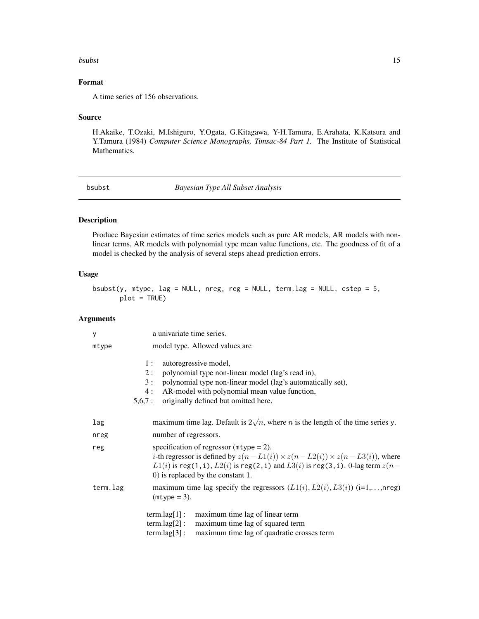#### <span id="page-14-0"></span>bsubst 15

## Format

A time series of 156 observations.

#### Source

H.Akaike, T.Ozaki, M.Ishiguro, Y.Ogata, G.Kitagawa, Y-H.Tamura, E.Arahata, K.Katsura and Y.Tamura (1984) *Computer Science Monographs, Timsac-84 Part 1.* The Institute of Statistical Mathematics.

<span id="page-14-1"></span>bsubst *Bayesian Type All Subset Analysis*

## Description

Produce Bayesian estimates of time series models such as pure AR models, AR models with nonlinear terms, AR models with polynomial type mean value functions, etc. The goodness of fit of a model is checked by the analysis of several steps ahead prediction errors.

#### Usage

```
bsubst(y, mtype, lag = NULL, nreg, reg = NULL, term.lag = NULL, cstep = 5,
      plot = TRUE)
```

| у        | a univariate time series.                                                                                                                                                                                                                                                           |
|----------|-------------------------------------------------------------------------------------------------------------------------------------------------------------------------------------------------------------------------------------------------------------------------------------|
| mtype    | model type. Allowed values are                                                                                                                                                                                                                                                      |
|          | autoregressive model,<br>1:<br>polynomial type non-linear model (lag's read in),<br>2:<br>polynomial type non-linear model (lag's automatically set),<br>3:<br>AR-model with polynomial mean value function,<br>4 :<br>originally defined but omitted here.<br>5,6,7:               |
| lag      | maximum time lag. Default is $2\sqrt{n}$ , where <i>n</i> is the length of the time series y.                                                                                                                                                                                       |
| nreg     | number of regressors.                                                                                                                                                                                                                                                               |
| reg      | specification of regressor ( $mype = 2$ ).<br><i>i</i> -th regressor is defined by $z(n - L1(i)) \times z(n - L2(i)) \times z(n - L3(i))$ , where<br>$L1(i)$ is reg(1, i), $L2(i)$ is reg(2, i) and $L3(i)$ is reg(3, i). 0-lag term $z(n-$<br>$(0)$ is replaced by the constant 1. |
| term.lag | maximum time lag specify the regressors $(L1(i), L2(i), L3(i))$ (i=1,,nreg)<br>$(mtype = 3)$ .                                                                                                                                                                                      |
|          | term.lag[1]:<br>maximum time lag of linear term<br>$term.lag[2]$ :<br>maximum time lag of squared term<br>$term.lag[3]$ :<br>maximum time lag of quadratic crosses term                                                                                                             |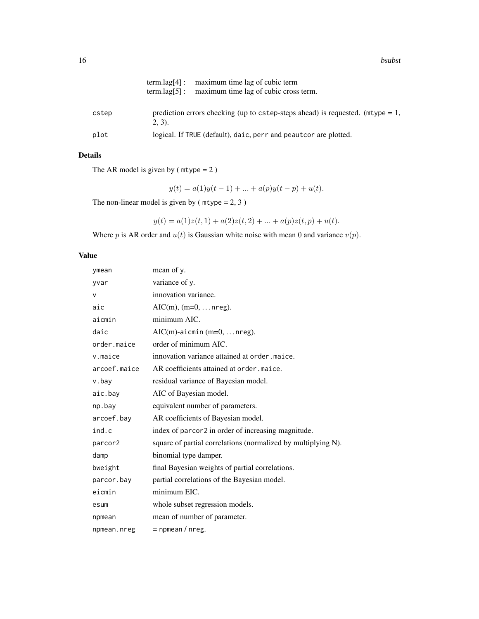|       | $term.lag[4]$ : maximum time lag of cubic term<br>$term.lag[5]$ : maximum time lag of cubic cross term. |
|-------|---------------------------------------------------------------------------------------------------------|
| cstep | prediction errors checking (up to cstep-steps ahead) is requested. $(mtype = 1,$<br>$(2, 3)$ .          |
| plot  | logical. If TRUE (default), daic, perr and peaut cor are plotted.                                       |

## Details

The AR model is given by  $(mtype = 2)$ 

 $y(t) = a(1)y(t-1) + ... + a(p)y(t-p) + u(t).$ 

The non-linear model is given by ( $mtype = 2, 3$ )

$$
y(t) = a(1)z(t, 1) + a(2)z(t, 2) + \dots + a(p)z(t, p) + u(t).
$$

Where p is AR order and  $u(t)$  is Gaussian white noise with mean 0 and variance  $v(p)$ .

| ymean        | mean of y.                                                    |
|--------------|---------------------------------------------------------------|
| yvar         | variance of y.                                                |
| v            | innovation variance.                                          |
| aic          | $AIC(m), (m=0, \ldots nreg).$                                 |
| aicmin       | minimum AIC.                                                  |
| daic         | $AIC(m)$ -aicmin (m=0,  nreg).                                |
| order.maice  | order of minimum AIC.                                         |
| v.maice      | innovation variance attained at order, maice.                 |
| arcoef.maice | AR coefficients attained at order, maice.                     |
| v.bay        | residual variance of Bayesian model.                          |
| aic.bay      | AIC of Bayesian model.                                        |
| np.bay       | equivalent number of parameters.                              |
| arcoef.bay   | AR coefficients of Bayesian model.                            |
| ind.c        | index of parcor2 in order of increasing magnitude.            |
| parcor2      | square of partial correlations (normalized by multiplying N). |
| damp         | binomial type damper.                                         |
| bweight      | final Bayesian weights of partial correlations.               |
| parcor.bay   | partial correlations of the Bayesian model.                   |
| eicmin       | minimum EIC.                                                  |
| esum         | whole subset regression models.                               |
| npmean       | mean of number of parameter.                                  |
| npmean.nreg  | $=$ npmean / nreg.                                            |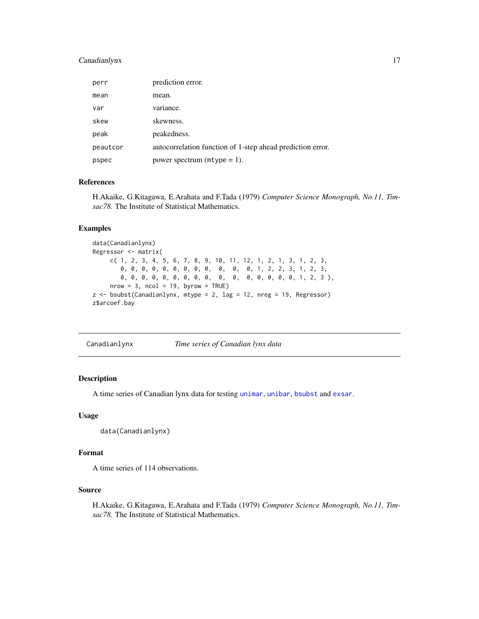## <span id="page-16-0"></span>Canadianlynx 17

| perr     | prediction error.                                          |
|----------|------------------------------------------------------------|
| mean     | mean.                                                      |
| var      | variance.                                                  |
| skew     | skewness.                                                  |
| peak     | peakedness.                                                |
| peautcor | autocorrelation function of 1-step ahead prediction error. |
| pspec    | power spectrum ( $m$ type = 1).                            |

## References

H.Akaike, G.Kitagawa, E.Arahata and F.Tada (1979) *Computer Science Monograph, No.11, Timsac78.* The Institute of Statistical Mathematics.

## Examples

```
data(Canadianlynx)
Regressor <- matrix(
    c( 1, 2, 3, 4, 5, 6, 7, 8, 9, 10, 11, 12, 1, 2, 1, 3, 1, 2, 3,
       0, 0, 0, 0, 0, 0, 0, 0, 0, 0, 0, 0, 1, 2, 2, 3, 1, 2, 3,
       0, 0, 0, 0, 0, 0, 0, 0, 0, 0, 0, 0, 0, 0, 0, 0, 1, 2, 3 ),
     nrow = 3, ncol = 19, byrow = TRUE)
z <- bsubst(Canadianlynx, mtype = 2, lag = 12, nreg = 19, Regressor)
z$arcoef.bay
```
Canadianlynx *Time series of Canadian lynx data*

## Description

A time series of Canadian lynx data for testing [unimar](#page-58-1), [unibar](#page-56-1), [bsubst](#page-14-1) and [exsar](#page-23-1).

#### Usage

```
data(Canadianlynx)
```
## Format

A time series of 114 observations.

## Source

H.Akaike, G.Kitagawa, E.Arahata and F.Tada (1979) *Computer Science Monograph, No.11, Timsac78.* The Institute of Statistical Mathematics.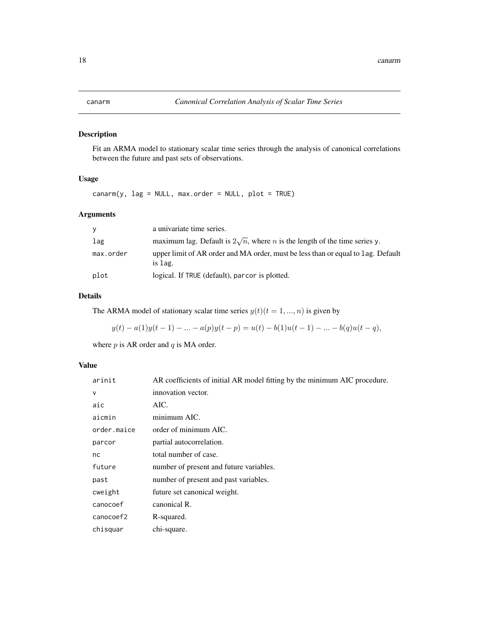<span id="page-17-0"></span>

## Description

Fit an ARMA model to stationary scalar time series through the analysis of canonical correlations between the future and past sets of observations.

#### Usage

canarm(y, lag = NULL, max.order = NULL, plot = TRUE)

## Arguments

| <b>V</b>  | a univariate time series.                                                                   |
|-----------|---------------------------------------------------------------------------------------------|
| lag       | maximum lag. Default is $2\sqrt{n}$ , where <i>n</i> is the length of the time series y.    |
| max.order | upper limit of AR order and MA order, must be less than or equal to lag. Default<br>is lag. |
| plot      | logical. If TRUE (default), parcor is plotted.                                              |

## Details

The ARMA model of stationary scalar time series  $y(t)(t = 1, ..., n)$  is given by

$$
y(t) - a(1)y(t-1) - \ldots - a(p)y(t-p) = u(t) - b(1)u(t-1) - \ldots - b(q)u(t-q),
$$

where  $p$  is AR order and  $q$  is MA order.

| arinit      | AR coefficients of initial AR model fitting by the minimum AIC procedure. |
|-------------|---------------------------------------------------------------------------|
| $\vee$      | innovation vector.                                                        |
| aic         | AIC.                                                                      |
| aicmin      | minimum AIC.                                                              |
| order.maice | order of minimum AIC.                                                     |
| parcor      | partial autocorrelation.                                                  |
| nc          | total number of case.                                                     |
| future      | number of present and future variables.                                   |
| past        | number of present and past variables.                                     |
| cweight     | future set canonical weight.                                              |
| canocoef    | canonical R.                                                              |
| canocoef2   | R-squared.                                                                |
| chisquar    | chi-square.                                                               |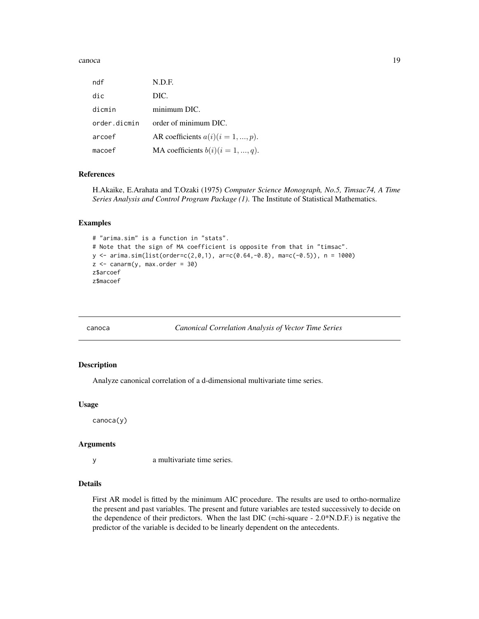#### <span id="page-18-0"></span>canoca and 19

| ndf          | N.D.F.                               |
|--------------|--------------------------------------|
| dic          | DIC.                                 |
| dicmin       | minimum DIC.                         |
| order.dicmin | order of minimum DIC.                |
| arcoef       | AR coefficients $a(i)(i = 1, , p)$ . |
| macoef       | MA coefficients $b(i)(i = 1, , q)$ . |

## References

H.Akaike, E.Arahata and T.Ozaki (1975) *Computer Science Monograph, No.5, Timsac74, A Time Series Analysis and Control Program Package (1)*. The Institute of Statistical Mathematics.

## Examples

```
# "arima.sim" is a function in "stats".
# Note that the sign of MA coefficient is opposite from that in "timsac".
y \leftarrow \text{arima.sim}(list(\text{order}=\text{c}(2,0,1), \text{ar}=\text{c}(0.64,-0.8), \text{mac}(-0.5)), n = 1000)z \le canarm(y, max.order = 30)
z$arcoef
z$macoef
```
canoca *Canonical Correlation Analysis of Vector Time Series*

#### Description

Analyze canonical correlation of a d-dimensional multivariate time series.

#### Usage

canoca(y)

#### Arguments

y a multivariate time series.

## Details

First AR model is fitted by the minimum AIC procedure. The results are used to ortho-normalize the present and past variables. The present and future variables are tested successively to decide on the dependence of their predictors. When the last DIC (=chi-square -  $2.0*$ N.D.F.) is negative the predictor of the variable is decided to be linearly dependent on the antecedents.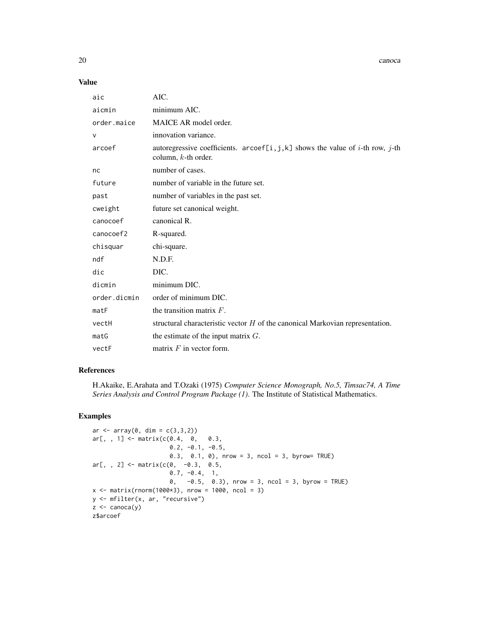20 canoca control and the control of the control of the control of the canoca canoca canoca canoca control of the control of the control of the control of the control of the control of the control of the control of the con

#### Value

| aic          | AIC.                                                                                                                   |
|--------------|------------------------------------------------------------------------------------------------------------------------|
| aicmin       | minimum AIC.                                                                                                           |
| order.maice  | MAICE AR model order.                                                                                                  |
| $\vee$       | innovation variance.                                                                                                   |
| arcoef       | autoregressive coefficients. arcoef[i,j,k] shows the value of <i>i</i> -th row, <i>j</i> -th<br>column, $k$ -th order. |
| nc           | number of cases.                                                                                                       |
| future       | number of variable in the future set.                                                                                  |
| past         | number of variables in the past set.                                                                                   |
| cweight      | future set canonical weight.                                                                                           |
| canocoef     | canonical R.                                                                                                           |
| canocoef2    | R-squared.                                                                                                             |
| chisquar     | chi-square.                                                                                                            |
| ndf          | N.D.F.                                                                                                                 |
| dic          | DIC.                                                                                                                   |
| dicmin       | minimum DIC.                                                                                                           |
| order.dicmin | order of minimum DIC.                                                                                                  |
| matF         | the transition matrix $F$ .                                                                                            |
| vectH        | structural characteristic vector $H$ of the canonical Markovian representation.                                        |
| matG         | the estimate of the input matrix $G$ .                                                                                 |
| vectF        | matrix $F$ in vector form.                                                                                             |

## References

H.Akaike, E.Arahata and T.Ozaki (1975) *Computer Science Monograph, No.5, Timsac74, A Time Series Analysis and Control Program Package (1)*. The Institute of Statistical Mathematics.

## Examples

```
ar < -array(0, dim = c(3, 3, 2))ar[, , 1] < - matrix(c(0.4, 0, 0.3, 0.3)0.2, -0.1, -0.5,0.3, 0.1, 0), nrow = 3, ncol = 3, byrow= TRUE)
ar[,, 2] <- matrix(c(0, -0.3, 0.5,0.7, -0.4, 1,
                      0, -0.5, 0.3), nrow = 3, ncol = 3, byrow = TRUE)
x <- matrix(rnorm(1000*3), nrow = 1000, ncol = 3)
y <- mfilter(x, ar, "recursive")
z \leftarrow canoca(y)z$arcoef
```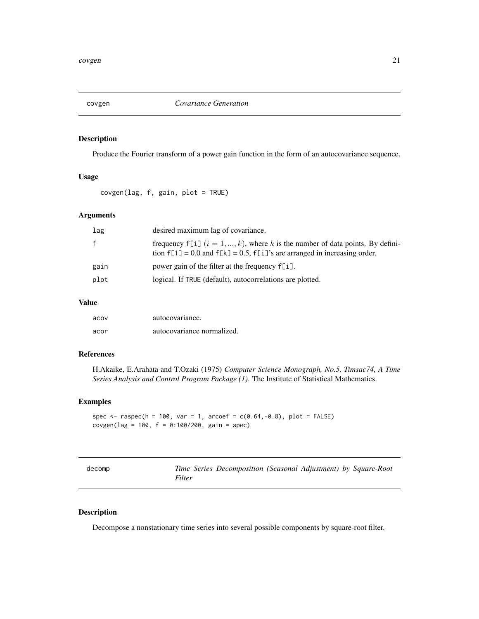<span id="page-20-0"></span>

## Description

Produce the Fourier transform of a power gain function in the form of an autocovariance sequence.

## Usage

covgen(lag, f, gain, plot = TRUE)

## Arguments

| lag          | desired maximum lag of covariance.                                                                                                                                   |
|--------------|----------------------------------------------------------------------------------------------------------------------------------------------------------------------|
| $\mathbf{f}$ | frequency f[i] $(i = 1, , k)$ , where k is the number of data points. By defini-<br>tion $f[1] = 0.0$ and $f[k] = 0.5$ , $f[i]$ 's are arranged in increasing order. |
| gain         | power gain of the filter at the frequency $f[i]$ .                                                                                                                   |
| plot         | logical. If TRUE (default), autocorrelations are plotted.                                                                                                            |

## Value

| acov | autocovariance.            |
|------|----------------------------|
| acor | autocovariance normalized. |

## References

H.Akaike, E.Arahata and T.Ozaki (1975) *Computer Science Monograph, No.5, Timsac74, A Time Series Analysis and Control Program Package (1)*. The Institute of Statistical Mathematics.

## Examples

```
spec <- raspec(h = 100, var = 1, arcoef = c(0.64, -0.8), plot = FALSE)
covgen(lag = 100, f = 0:100/200, gain = spec)
```
<span id="page-20-1"></span>

| decomp |        | Time Series Decomposition (Seasonal Adjustment) by Square-Root |  |  |
|--------|--------|----------------------------------------------------------------|--|--|
|        | Filter |                                                                |  |  |

## Description

Decompose a nonstationary time series into several possible components by square-root filter.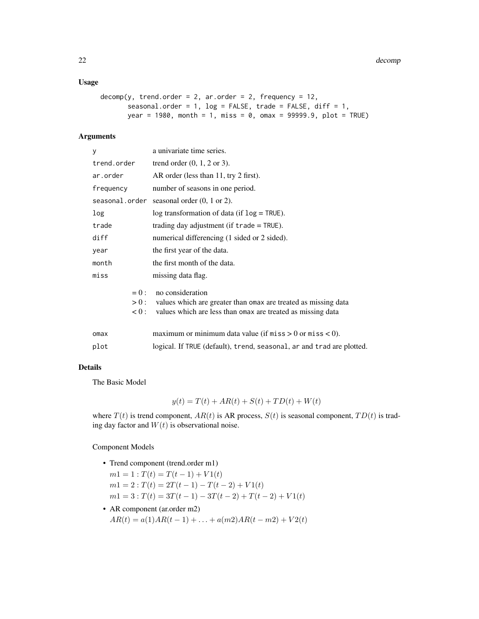## Usage

```
decomp(y, trend.order = 2, ar.order = 2, frequency = 12,seasonal.order = 1, log = FALSE, trade = FALSE, diff = 1,
      year = 1980, month = 1, miss = 0, omax = 99999.9, plot = TRUE)
```
#### Arguments

| у              | a univariate time series.                                                |  |  |  |  |
|----------------|--------------------------------------------------------------------------|--|--|--|--|
| trend.order    | trend order $(0, 1, 2 \text{ or } 3)$ .                                  |  |  |  |  |
| ar.order       | AR order (less than 11, try 2 first).                                    |  |  |  |  |
| frequency      | number of seasons in one period.                                         |  |  |  |  |
| seasonal.order | seasonal order $(0, 1 \text{ or } 2)$ .                                  |  |  |  |  |
| log            | log transformation of data (if $log = TRUE$ ).                           |  |  |  |  |
| trade          | trading day adjustment (if $trade = TRUE$ ).                             |  |  |  |  |
| diff           | numerical differencing (1 sided or 2 sided).                             |  |  |  |  |
| year           | the first year of the data.                                              |  |  |  |  |
| month          | the first month of the data.                                             |  |  |  |  |
| miss           | missing data flag.                                                       |  |  |  |  |
|                | no consideration<br>$= 0$ :                                              |  |  |  |  |
|                | values which are greater than omax are treated as missing data<br>$>0$ : |  |  |  |  |
|                | values which are less than omax are treated as missing data<br>0: 0.     |  |  |  |  |
| omax           | maximum or minimum data value (if $miss > 0$ or $miss < 0$ ).            |  |  |  |  |
| plot           | logical. If TRUE (default), trend, seasonal, ar and trad are plotted.    |  |  |  |  |
|                |                                                                          |  |  |  |  |

#### Details

The Basic Model

$$
y(t) = T(t) + AR(t) + S(t) + TD(t) + W(t)
$$

where  $T(t)$  is trend component,  $AR(t)$  is AR process,  $S(t)$  is seasonal component,  $TD(t)$  is trading day factor and  $W(t)$  is observational noise.

#### Component Models

- Trend component (trend.order m1)
	- $m1 = 1 : T(t) = T(t-1) + V1(t)$  $m1 = 2 : T(t) = 2T(t-1) - T(t-2) + V1(t)$  $m1 = 3 : T(t) = 3T(t-1) - 3T(t-2) + T(t-2) + V1(t)$
- AR component (ar.order m2)  $AR(t) = a(1)AR(t-1) + ... + a(m2)AR(t-m2) + V2(t)$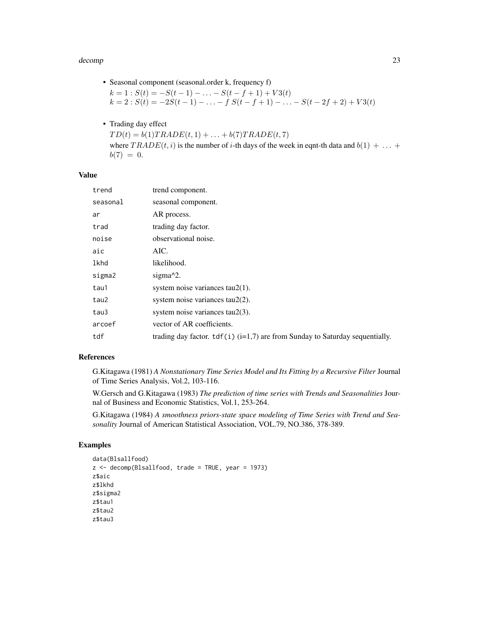#### decomp 23

• Seasonal component (seasonal.order k, frequency f)

 $k = 1$ :  $S(t) = -S(t-1) - \ldots - S(t-f+1) + V3(t)$  $k = 2$ :  $S(t) = -2S(t-1) - \ldots - f S(t-f+1) - \ldots - S(t-2f+2) + V3(t)$ 

• Trading day effect

 $TD(t) = b(1) TRADE(t, 1) + \ldots + b(7) TRADE(t, 7)$ where  $TRADE(t, i)$  is the number of i-th days of the week in eqnt-th data and  $b(1) + ... +$  $b(7) = 0.$ 

#### Value

| trend    | trend component.                                                                      |
|----------|---------------------------------------------------------------------------------------|
| seasonal | seasonal component.                                                                   |
| ar       | AR process.                                                                           |
| trad     | trading day factor.                                                                   |
| noise    | observational noise.                                                                  |
| aic      | AIC.                                                                                  |
| lkhd     | likelihood.                                                                           |
| sigma2   | sigma $\frac{2}{2}$ .                                                                 |
| tau1     | system noise variances $tau(1)$ .                                                     |
| tau2     | system noise variances tau2(2).                                                       |
| tau3     | system noise variances $tau(3)$ .                                                     |
| arcoef   | vector of AR coefficients.                                                            |
| tdf      | trading day factor. $\text{tdf}(i)$ (i=1,7) are from Sunday to Saturday sequentially. |

#### References

G.Kitagawa (1981) *A Nonstationary Time Series Model and Its Fitting by a Recursive Filter* Journal of Time Series Analysis, Vol.2, 103-116.

W.Gersch and G.Kitagawa (1983) *The prediction of time series with Trends and Seasonalities* Journal of Business and Economic Statistics, Vol.1, 253-264.

G.Kitagawa (1984) *A smoothness priors-state space modeling of Time Series with Trend and Seasonality* Journal of American Statistical Association, VOL.79, NO.386, 378-389.

#### Examples

```
data(Blsallfood)
z <- decomp(Blsallfood, trade = TRUE, year = 1973)
z$aic
z$lkhd
z$sigma2
z$tau1
z$tau2
z$tau3
```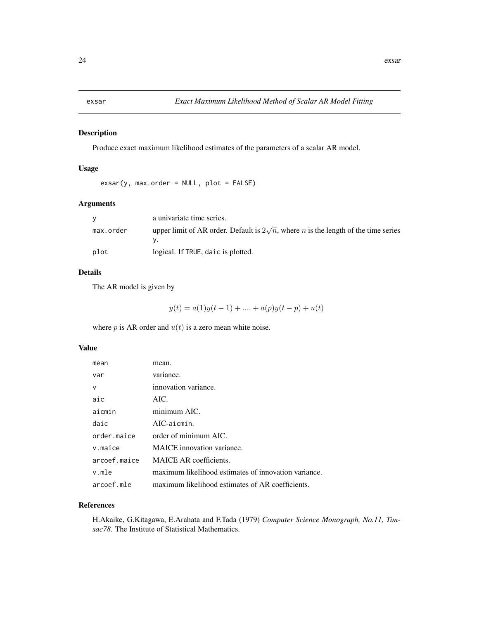<span id="page-23-1"></span><span id="page-23-0"></span>

## Description

Produce exact maximum likelihood estimates of the parameters of a scalar AR model.

## Usage

```
exsar(y, max.order = NULL, plot = FALSE)
```
## Arguments

|           | a univariate time series.                                                                         |
|-----------|---------------------------------------------------------------------------------------------------|
| max.order | upper limit of AR order. Default is $2\sqrt{n}$ , where <i>n</i> is the length of the time series |
| plot      | logical. If TRUE, daic is plotted.                                                                |

## Details

The AR model is given by

$$
y(t) = a(1)y(t-1) + \dots + a(p)y(t-p) + u(t)
$$

where  $p$  is AR order and  $u(t)$  is a zero mean white noise.

## Value

| mean         | mean.                                                |
|--------------|------------------------------------------------------|
| var          | variance.                                            |
| v            | innovation variance.                                 |
| aic          | AIC.                                                 |
| aicmin       | minimum AIC.                                         |
| daic         | $AIC$ -aicmin.                                       |
| order.maice  | order of minimum AIC.                                |
| $v$ . maice  | <b>MAICE</b> innovation variance.                    |
| arcoef.maice | <b>MAICE AR coefficients.</b>                        |
| v.mle        | maximum likelihood estimates of innovation variance. |
| arcoef.mle   | maximum likelihood estimates of AR coefficients.     |

#### References

H.Akaike, G.Kitagawa, E.Arahata and F.Tada (1979) *Computer Science Monograph, No.11, Timsac78.* The Institute of Statistical Mathematics.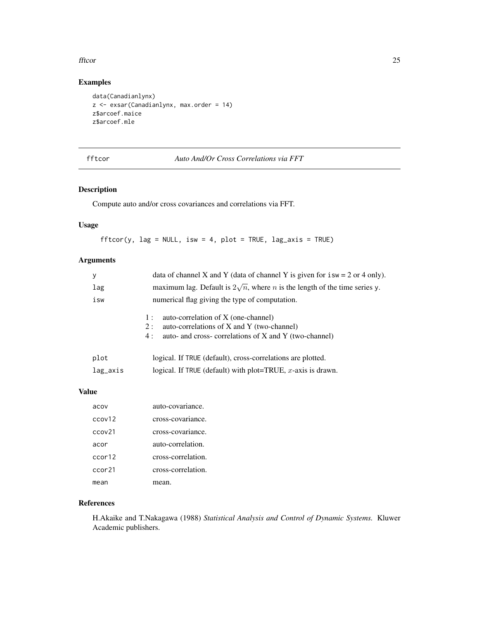#### <span id="page-24-0"></span>fftcor 25

## Examples

```
data(Canadianlynx)
z <- exsar(Canadianlynx, max.order = 14)
z$arcoef.maice
z$arcoef.mle
```
fftcor *Auto And/Or Cross Correlations via FFT*

## Description

Compute auto and/or cross covariances and correlations via FFT.

## Usage

 $fftcor(y, lag = NULL, isw = 4, plot = TRUE, lag_axis = TRUE)$ 

## Arguments

| у        | data of channel X and Y (data of channel Y is given for $i sw = 2$ or 4 only).                                                                                 |
|----------|----------------------------------------------------------------------------------------------------------------------------------------------------------------|
| lag      | maximum lag. Default is $2\sqrt{n}$ , where <i>n</i> is the length of the time series y.                                                                       |
| isw      | numerical flag giving the type of computation.                                                                                                                 |
|          | auto-correlation of X (one-channel)<br>1:<br>auto-correlations of X and Y (two-channel)<br>2:<br>auto- and cross- correlations of X and Y (two-channel)<br>4 : |
| plot     | logical. If TRUE (default), cross-correlations are plotted.                                                                                                    |
| lag_axis | logical. If TRUE (default) with plot=TRUE, $x$ -axis is drawn.                                                                                                 |

## Value

| acov   | auto-covariance.   |
|--------|--------------------|
| ccov12 | cross-covariance.  |
| ccov21 | cross-covariance.  |
| acor   | auto-correlation.  |
| ccor12 | cross-correlation. |
| ccor21 | cross-correlation. |
| mean   | mean.              |

## References

H.Akaike and T.Nakagawa (1988) *Statistical Analysis and Control of Dynamic Systems.* Kluwer Academic publishers.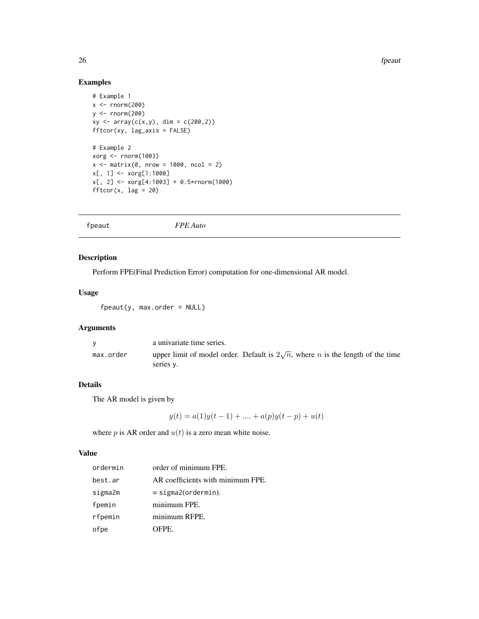26 fpeautos and the set of the set of the set of the set of the set of the set of the set of the set of the set of the set of the set of the set of the set of the set of the set of the set of the set of the set of the set

## Examples

```
# Example 1
x < - rnorm(200)y <- rnorm(200)
xy \leftarrow array(c(x,y), dim = c(200,2))fftcor(xy, lag_axis = FALSE)
# Example 2
xorg < -rnorm(1003)x \le - matrix(0, nrow = 1000, ncol = 2)
x[, 1] <- xorg[1:1000]
x[, 2] <- xorg[4:1003] + 0.5*rnorm(1000)
fftcor(x, lag = 20)
```
fpeaut *FPE Auto*

## Description

Perform FPE(Final Prediction Error) computation for one-dimensional AR model.

## Usage

 $f$ peaut(y, max.order = NULL)

## Arguments

|           | a univariate time series.                                                                                  |
|-----------|------------------------------------------------------------------------------------------------------------|
| max.order | upper limit of model order. Default is $2\sqrt{n}$ , where <i>n</i> is the length of the time<br>series v. |

## Details

The AR model is given by

 $y(t) = a(1)y(t-1) + \dots + a(p)y(t-p) + u(t)$ 

where  $p$  is AR order and  $u(t)$  is a zero mean white noise.

| ordermin | order of minimum FPE.             |
|----------|-----------------------------------|
| best.ar  | AR coefficients with minimum FPE. |
| sigma2m  | $=$ sigma2(ordermin).             |
| fpemin   | minimum FPE.                      |
| rfpemin  | minimum RFPE.                     |
| ofpe     | OFPE.                             |

<span id="page-25-0"></span>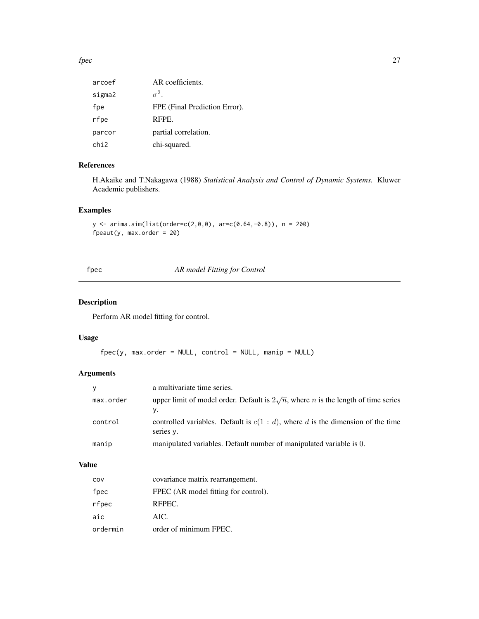#### <span id="page-26-0"></span> $fpec$  27

| arcoef           | AR coefficients.              |
|------------------|-------------------------------|
| sigma2           | $\sigma^2$                    |
| fpe              | FPE (Final Prediction Error). |
| rfpe             | RFPE.                         |
| parcor           | partial correlation.          |
| chi <sub>2</sub> | chi-squared.                  |

## References

H.Akaike and T.Nakagawa (1988) *Statistical Analysis and Control of Dynamic Systems.* Kluwer Academic publishers.

## Examples

```
y \le -\arima.sim(list(order=c(2,0,0), arc(c(0.64,-0.8)), n = 200)fpeaut(y, max.order = 20)
```
fpec *AR model Fitting for Control*

## Description

Perform AR model fitting for control.

## Usage

```
fpec(y, max.order = NULL, control = NULL, main = NULL)
```
## Arguments

| V         | a multivariate time series.                                                                            |
|-----------|--------------------------------------------------------------------------------------------------------|
| max.order | upper limit of model order. Default is $2\sqrt{n}$ , where <i>n</i> is the length of time series<br>у. |
| control   | controlled variables. Default is $c(1 : d)$ , where d is the dimension of the time<br>series y.        |
| manip     | manipulated variables. Default number of manipulated variable is 0.                                    |

| COV      | covariance matrix rearrangement.     |
|----------|--------------------------------------|
| fpec     | FPEC (AR model fitting for control). |
| rfpec    | RFPEC.                               |
| aic      | AIC.                                 |
| ordermin | order of minimum FPEC.               |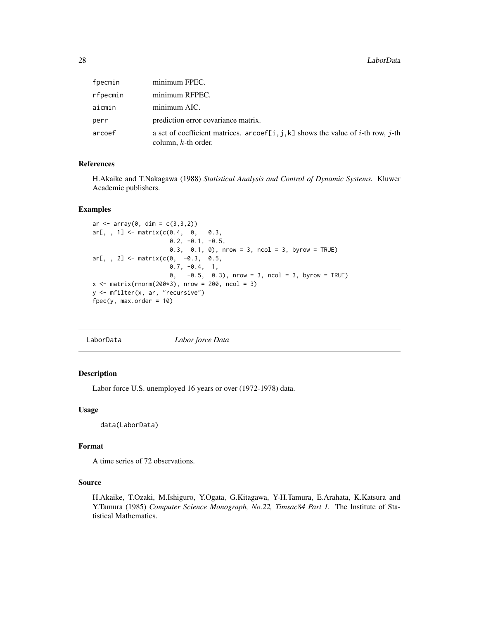<span id="page-27-0"></span>

| fpecmin  | minimum FPEC.                                                                                              |
|----------|------------------------------------------------------------------------------------------------------------|
| rfpecmin | minimum RFPEC.                                                                                             |
| aicmin   | minimum AIC.                                                                                               |
| perr     | prediction error covariance matrix.                                                                        |
| arcoef   | a set of coefficient matrices. arcoef[i, j, k] shows the value of i-th row, j-th<br>column, $k$ -th order. |

## References

H.Akaike and T.Nakagawa (1988) *Statistical Analysis and Control of Dynamic Systems.* Kluwer Academic publishers.

#### Examples

```
ar < -array(0, dim = c(3, 3, 2))ar[,, 1] <- matrix(c(0.4, 0, 0.3,0.2, -0.1, -0.5,0.3, 0.1, 0), nrow = 3, ncol = 3, byrow = TRUE)
ar[,, 2] <- matrix(c(0, -0.3, 0.5,0.7, -0.4, 1,
                     0, -0.5, 0.3), nrow = 3, ncol = 3, byrow = TRUE)
x \le - matrix(rnorm(200*3), nrow = 200, ncol = 3)
y <- mfilter(x, ar, "recursive")
fpec(y, max.order = 10)
```

```
LaborData Labor force Data
```
## Description

Labor force U.S. unemployed 16 years or over (1972-1978) data.

#### Usage

data(LaborData)

## Format

A time series of 72 observations.

#### Source

H.Akaike, T.Ozaki, M.Ishiguro, Y.Ogata, G.Kitagawa, Y-H.Tamura, E.Arahata, K.Katsura and Y.Tamura (1985) *Computer Science Monograph, No.22, Timsac84 Part 1.* The Institute of Statistical Mathematics.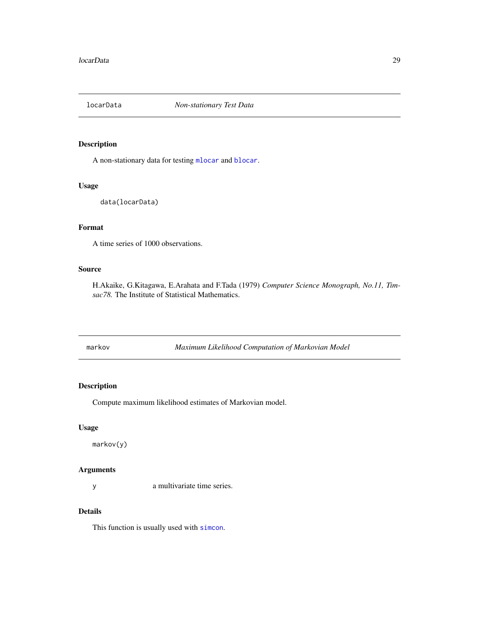<span id="page-28-0"></span>

## Description

A non-stationary data for testing [mlocar](#page-31-1) and [blocar](#page-11-1).

## Usage

```
data(locarData)
```
## Format

A time series of 1000 observations.

## Source

H.Akaike, G.Kitagawa, E.Arahata and F.Tada (1979) *Computer Science Monograph, No.11, Timsac78.* The Institute of Statistical Mathematics.

markov *Maximum Likelihood Computation of Markovian Model*

## Description

Compute maximum likelihood estimates of Markovian model.

## Usage

markov(y)

## Arguments

y a multivariate time series.

## Details

This function is usually used with [simcon](#page-53-1).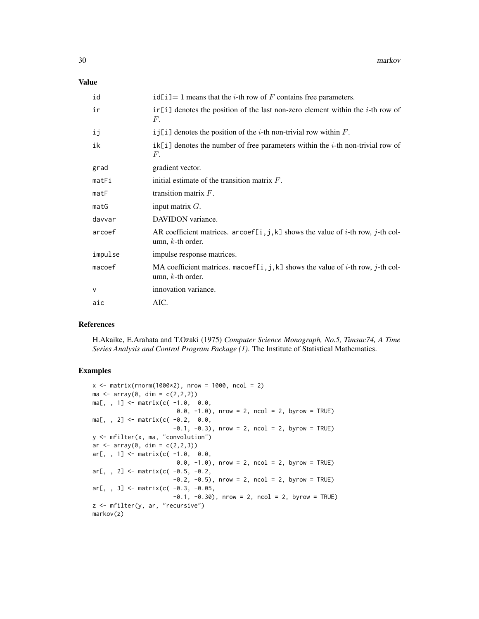#### Value

| id      | $id[i] = 1$ means that the <i>i</i> -th row of F contains free parameters.                                             |
|---------|------------------------------------------------------------------------------------------------------------------------|
| ir      | $ir[i]$ denotes the position of the last non-zero element within the <i>i</i> -th row of<br>$F$ .                      |
| ij      | i j[i] denotes the position of the <i>i</i> -th non-trivial row within $F$ .                                           |
| ik      | $ik[i]$ denotes the number of free parameters within the <i>i</i> -th non-trivial row of<br>$F_{\cdot}$                |
| grad    | gradient vector.                                                                                                       |
| matFi   | initial estimate of the transition matrix $F$ .                                                                        |
| matF    | transition matrix $F$ .                                                                                                |
| matG    | input matrix $G$ .                                                                                                     |
| davvar  | DAVIDON variance.                                                                                                      |
| arcoef  | AR coefficient matrices. arcoef[i,j,k] shows the value of i-th row, j-th col-<br>umn, $k$ -th order.                   |
| impulse | impulse response matrices.                                                                                             |
| macoef  | MA coefficient matrices. macoef[i, j, k] shows the value of <i>i</i> -th row, <i>j</i> -th col-<br>umn, $k$ -th order. |
| V       | innovation variance.                                                                                                   |
| aic     | AIC.                                                                                                                   |

#### References

H.Akaike, E.Arahata and T.Ozaki (1975) *Computer Science Monograph, No.5, Timsac74, A Time Series Analysis and Control Program Package (1)*. The Institute of Statistical Mathematics.

#### Examples

```
x \le - matrix(rnorm(1000*2), nrow = 1000, ncol = 2)
ma < -array(0, dim = c(2, 2, 2))ma[,, 1] <- matrix(c(-1.0, 0.0,0.0, -1.0), nrow = 2, ncol = 2, byrow = TRUE)
ma[,, 2] <- matrix(c(-0.2, 0.0,-0.1, -0.3), nrow = 2, ncol = 2, byrow = TRUE)
y <- mfilter(x, ma, "convolution")
ar \leq array(0, dim = c(2,2,3))
ar[,, 1] <- matrix(c(-1.0, 0.0,
                       0.0, -1.0), nrow = 2, ncol = 2, byrow = TRUE)
ar[,, 2] <- matrix(c( -0.5, -0.2,
                      -0.2, -0.5), nrow = 2, ncol = 2, byrow = TRUE)
ar[,, 3] <- matrix(c(-0.3, -0.05,
                      -0.1, -0.30, nrow = 2, ncol = 2, byrow = TRUE)
z <- mfilter(y, ar, "recursive")
markov(z)
```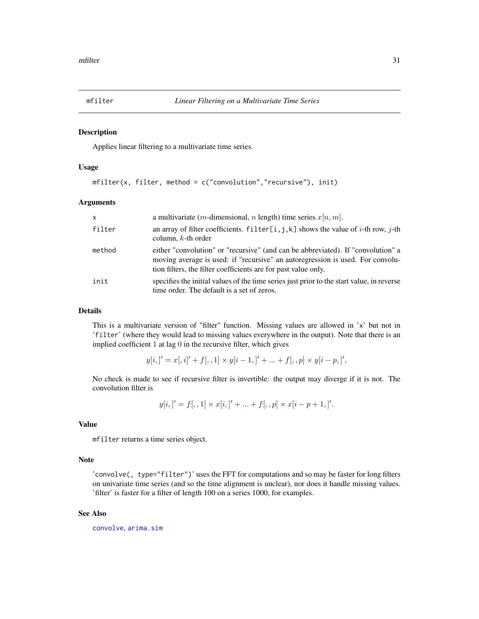<span id="page-30-0"></span>

#### Description

Applies linear filtering to a multivariate time series.

## Usage

```
mfilter(x, filter, method = c("convolution","recursive"), init)
```
## Arguments

| X      | a multivariate ( <i>m</i> -dimensional, <i>n</i> length) time series $x[n, m]$ .                                                                                                                                                     |
|--------|--------------------------------------------------------------------------------------------------------------------------------------------------------------------------------------------------------------------------------------|
| filter | an array of filter coefficients. $f\text{ilter}[i, j, k]$ shows the value of i-th row, j-th<br>column, $k$ -th order                                                                                                                 |
| method | either "convolution" or "recursive" (and can be abbreviated). If "convolution" a<br>moving average is used: if "recursive" an autoregression is used. For convolu-<br>tion filters, the filter coefficients are for past value only. |
| init   | specifies the initial values of the time series just prior to the start value, in reverse<br>time order. The default is a set of zeros.                                                                                              |

## Details

This is a multivariate version of "filter" function. Missing values are allowed in 'x' but not in 'filter' (where they would lead to missing values everywhere in the output). Note that there is an implied coefficient 1 at lag 0 in the recursive filter, which gives

$$
y[i, ]' = x[, i]' + f[, , 1] \times y[i - 1, ]' + ... + f[, , p] \times y[i - p, ]',
$$

No check is made to see if recursive filter is invertible: the output may diverge if it is not. The convolution filter is

$$
y[i, ]' = f[, , 1] \times x[i, ]' + ... + f[, , p] \times x[i - p + 1, ]'.
$$

#### Value

mfilter returns a time series object.

#### Note

'convolve(, type="filter")' uses the FFT for computations and so may be faster for long filters on univariate time series (and so the time alignment is unclear), nor does it handle missing values. 'filter' is faster for a filter of length 100 on a series 1000, for examples.

#### See Also

[convolve](#page-0-0), [arima.sim](#page-0-0)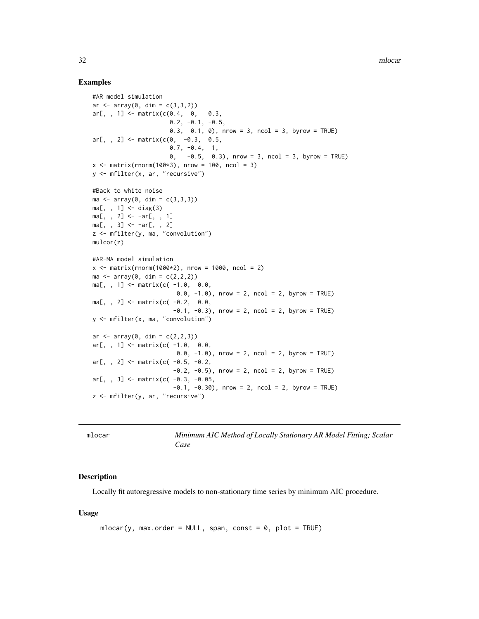#### <span id="page-31-0"></span>Examples

```
#AR model simulation
ar \le -array(0, dim = c(3, 3, 2))ar[,, 1] <- matrix(c(0.4, 0, 0.3,0.2, -0.1, -0.5,0.3, 0.1, 0), nrow = 3, ncol = 3, byrow = TRUE)
ar[,, 2] <- matrix(c(0, -0.3, 0.5,
                      0.7, -0.4, 1,
                      0, -0.5, 0.3), nrow = 3, ncol = 3, byrow = TRUE)
x \le - matrix(rnorm(100*3), nrow = 100, ncol = 3)
y <- mfilter(x, ar, "recursive")
#Back to white noise
ma < -array(0, dim = c(3,3,3))ma[, , 1] < - diag(3)ma[, , 2] < -ar[, , 1]ma[, , 3] < -ar[, , 2]z <- mfilter(y, ma, "convolution")
mulcor(z)
#AR-MA model simulation
x \le - matrix(rnorm(1000*2), nrow = 1000, ncol = 2)
ma \leq -\arctan(0, \, \text{dim} = c(2, 2, 2))ma[,, 1] <- matrix(c(-1.0, 0.0,0.0, -1.0), nrow = 2, ncol = 2, byrow = TRUE)
ma[,, 2] <- matrix(c(-0.2, 0.0,-0.1, -0.3, nrow = 2, ncol = 2, byrow = TRUE)
y <- mfilter(x, ma, "convolution")
ar < -array(0, dim = c(2, 2, 3))ar[,, 1] <- matrix(c(-1.0, 0.0,
                        0.0, -1.0, nrow = 2, ncol = 2, byrow = TRUE)
ar[,, 2] <- matrix(c( -0.5, -0.2,
                       -0.2, -0.5), nrow = 2, ncol = 2, byrow = TRUE)
ar[,, 3] <- matrix(c( -0.3, -0.05,
                       -0.1, -0.30, nrow = 2, ncol = 2, byrow = TRUE)
z <- mfilter(y, ar, "recursive")
```
<span id="page-31-1"></span>

| mlocar | Minimum AIC Method of Locally Stationary AR Model Fitting; Scalar<br>Case |
|--------|---------------------------------------------------------------------------|
|        |                                                                           |

#### Description

Locally fit autoregressive models to non-stationary time series by minimum AIC procedure.

#### Usage

```
mlocar(y, max.order = NULL, span, const = 0, plot = TRUE)
```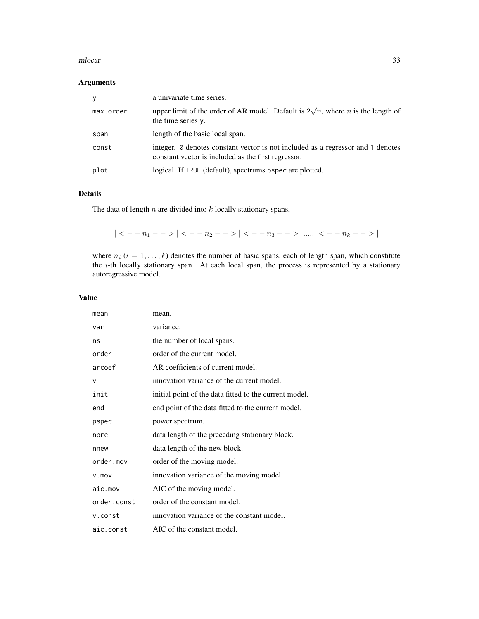#### mlocar 33

## Arguments

| <b>V</b>  | a univariate time series.                                                                                                              |
|-----------|----------------------------------------------------------------------------------------------------------------------------------------|
| max.order | upper limit of the order of AR model. Default is $2\sqrt{n}$ , where <i>n</i> is the length of<br>the time series y.                   |
| span      | length of the basic local span.                                                                                                        |
| const     | integer. 0 denotes constant vector is not included as a regressor and 1 denotes<br>constant vector is included as the first regressor. |
| plot      | logical. If TRUE (default), spectrums pspec are plotted.                                                                               |

## Details

The data of length  $n$  are divided into  $k$  locally stationary spans,

$$
|< -n_1-->|< -n_2-->|< -n_3-->|......|< -n_k-->|
$$

where  $n_i$  ( $i = 1, \ldots, k$ ) denotes the number of basic spans, each of length span, which constitute the i-th locally stationary span. At each local span, the process is represented by a stationary autoregressive model.

| mean        | mean.                                                  |
|-------------|--------------------------------------------------------|
| var         | variance.                                              |
| ns          | the number of local spans.                             |
| order       | order of the current model.                            |
| arcoef      | AR coefficients of current model.                      |
| v           | innovation variance of the current model.              |
| init        | initial point of the data fitted to the current model. |
| end         | end point of the data fitted to the current model.     |
| pspec       | power spectrum.                                        |
| npre        | data length of the preceding stationary block.         |
| nnew        | data length of the new block.                          |
| order.mov   | order of the moving model.                             |
| $V$ . $mov$ | innovation variance of the moving model.               |
| aic.mov     | AIC of the moving model.                               |
| order.const | order of the constant model.                           |
| v.const     | innovation variance of the constant model.             |
| aic.const   | AIC of the constant model.                             |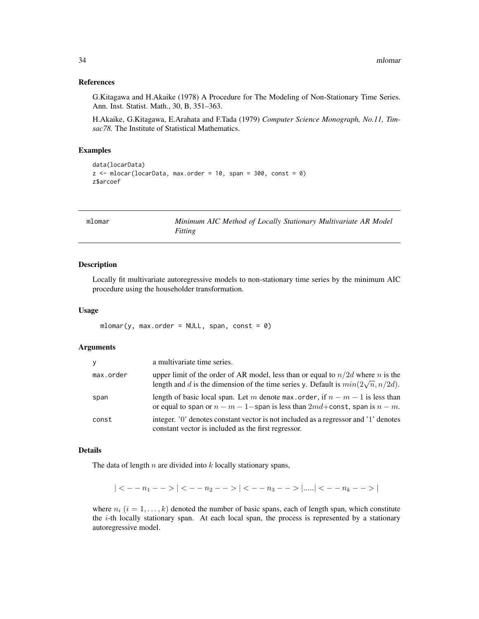#### <span id="page-33-0"></span>References

G.Kitagawa and H.Akaike (1978) A Procedure for The Modeling of Non-Stationary Time Series. Ann. Inst. Statist. Math., 30, B, 351–363.

H.Akaike, G.Kitagawa, E.Arahata and F.Tada (1979) *Computer Science Monograph, No.11, Timsac78.* The Institute of Statistical Mathematics.

### Examples

```
data(locarData)
z \le mlocar(locarData, max.order = 10, span = 300, const = 0)
z$arcoef
```
mlomar *Minimum AIC Method of Locally Stationary Multivariate AR Model Fitting*

#### Description

Locally fit multivariate autoregressive models to non-stationary time series by the minimum AIC procedure using the householder transformation.

#### Usage

 $mlomar(y, max.order = NULL, span, const = 0)$ 

#### Arguments

| V         | a multivariate time series.                                                                                                                                                  |
|-----------|------------------------------------------------------------------------------------------------------------------------------------------------------------------------------|
| max.order | upper limit of the order of AR model, less than or equal to $n/2d$ where n is the<br>length and d is the dimension of the time series y. Default is $min(2\sqrt{n}, n/2d)$ . |
| span      | length of basic local span. Let m denote max order, if $n - m - 1$ is less than<br>or equal to span or $n - m - 1$ -span is less than $2md$ + const, span is $n - m$ .       |
| const     | integer. '0' denotes constant vector is not included as a regressor and '1' denotes<br>constant vector is included as the first regressor.                                   |

#### Details

The data of length  $n$  are divided into  $k$  locally stationary spans,

 $| < -n_1 - > | < -n_2 - > | < -n_3 - > |$ ..... $| < -n_k - > |$ 

where  $n_i$  ( $i = 1, \ldots, k$ ) denoted the number of basic spans, each of length span, which constitute the  $i$ -th locally stationary span. At each local span, the process is represented by a stationary autoregressive model.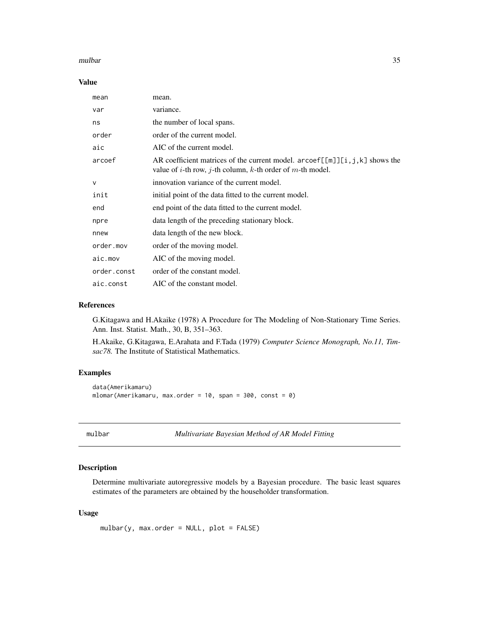#### <span id="page-34-0"></span>mulbar 35

#### Value

| mean        | mean.                                                                                                                                                                                            |
|-------------|--------------------------------------------------------------------------------------------------------------------------------------------------------------------------------------------------|
| var         | variance.                                                                                                                                                                                        |
| ns          | the number of local spans.                                                                                                                                                                       |
| order       | order of the current model.                                                                                                                                                                      |
| aic         | AIC of the current model.                                                                                                                                                                        |
| arcoef      | AR coefficient matrices of the current model. $\text{arcoef}[\lfloor m \rfloor][i, j, k]$ shows the<br>value of <i>i</i> -th row, <i>j</i> -th column, <i>k</i> -th order of <i>m</i> -th model. |
| $\vee$      | innovation variance of the current model.                                                                                                                                                        |
| init        | initial point of the data fitted to the current model.                                                                                                                                           |
| end         | end point of the data fitted to the current model.                                                                                                                                               |
| npre        | data length of the preceding stationary block.                                                                                                                                                   |
| nnew        | data length of the new block.                                                                                                                                                                    |
| order.mov   | order of the moving model.                                                                                                                                                                       |
| aic.mov     | AIC of the moving model.                                                                                                                                                                         |
| order.const | order of the constant model.                                                                                                                                                                     |
| aic.const   | AIC of the constant model.                                                                                                                                                                       |

## References

G.Kitagawa and H.Akaike (1978) A Procedure for The Modeling of Non-Stationary Time Series. Ann. Inst. Statist. Math., 30, B, 351–363.

H.Akaike, G.Kitagawa, E.Arahata and F.Tada (1979) *Computer Science Monograph, No.11, Timsac78.* The Institute of Statistical Mathematics.

#### Examples

```
data(Amerikamaru)
mlomar(Amerikamaru, max.order = 10, span = 300, const = 0)
```
<span id="page-34-1"></span>mulbar *Multivariate Bayesian Method of AR Model Fitting*

## Description

Determine multivariate autoregressive models by a Bayesian procedure. The basic least squares estimates of the parameters are obtained by the householder transformation.

#### Usage

```
mulbar(y, max.order = NULL, plot = FALSE)
```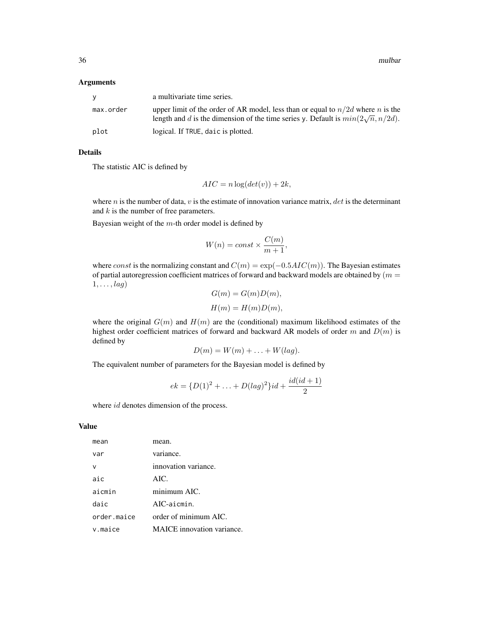36 mulbar

#### Arguments

| <b>V</b>  | a multivariate time series.                                                                                                                                                  |
|-----------|------------------------------------------------------------------------------------------------------------------------------------------------------------------------------|
| max.order | upper limit of the order of AR model, less than or equal to $n/2d$ where n is the<br>length and d is the dimension of the time series y. Default is $min(2\sqrt{n}, n/2d)$ . |
| plot      | logical. If TRUE, daic is plotted.                                                                                                                                           |

## Details

The statistic AIC is defined by

$$
AIC = n \log(det(v)) + 2k,
$$

where  $n$  is the number of data,  $v$  is the estimate of innovation variance matrix,  $det$  is the determinant and  $k$  is the number of free parameters.

Bayesian weight of the  $m$ -th order model is defined by

$$
W(n) = const \times \frac{C(m)}{m+1},
$$

where const is the normalizing constant and  $C(m) = \exp(-0.5AIC(m))$ . The Bayesian estimates of partial autoregression coefficient matrices of forward and backward models are obtained by  $(m =$  $1, \ldots$ ,  $lag)$  $G(m) = G(m)D(m)$ 

$$
G(m) = G(m)D(m),
$$
  

$$
H(m) = H(m)D(m),
$$

where the original  $G(m)$  and  $H(m)$  are the (conditional) maximum likelihood estimates of the highest order coefficient matrices of forward and backward AR models of order m and  $D(m)$  is defined by

$$
D(m) = W(m) + \ldots + W(lag).
$$

The equivalent number of parameters for the Bayesian model is defined by

$$
ek = \{D(1)^2 + \ldots + D(lag)^2\}id + \frac{id(id+1)}{2}
$$

where *id* denotes dimension of the process.

| mean        | mean.                             |
|-------------|-----------------------------------|
| var         | variance.                         |
|             | innovation variance.              |
| aic         | AIC.                              |
| aicmin      | minimum AIC.                      |
| daic        | AIC-aicmin.                       |
| order.maice | order of minimum AIC.             |
| v.maice     | <b>MAICE</b> innovation variance. |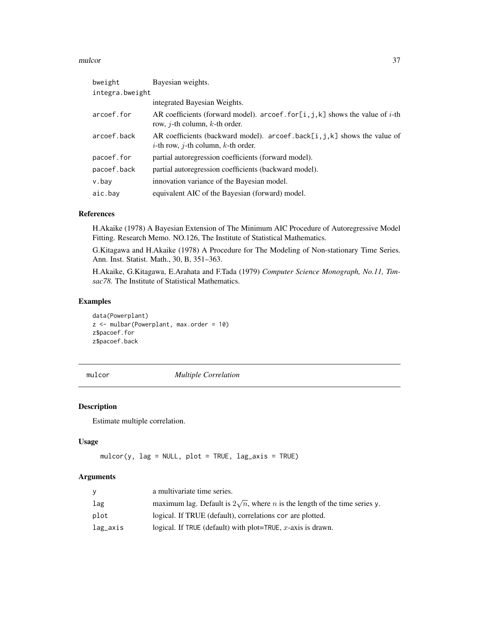#### <span id="page-36-0"></span>mulcor 37

| bweight         | Bayesian weights.                                                                                                                       |  |
|-----------------|-----------------------------------------------------------------------------------------------------------------------------------------|--|
| integra.bweight |                                                                                                                                         |  |
|                 | integrated Bayesian Weights.                                                                                                            |  |
| arcoef.for      | AR coefficients (forward model). arcoef. for [i, j, k] shows the value of <i>i</i> -th<br>row, <i>j</i> -th column, <i>k</i> -th order. |  |
| arcoef.back     | AR coefficients (backward model). arcoef.back[i,j,k] shows the value of<br><i>i</i> -th row, <i>j</i> -th column, <i>k</i> -th order.   |  |
| pacoef.for      | partial autoregression coefficients (forward model).                                                                                    |  |
| pacoef.back     | partial autoregression coefficients (backward model).                                                                                   |  |
| v.bay           | innovation variance of the Bayesian model.                                                                                              |  |
| aic.bay         | equivalent AIC of the Bayesian (forward) model.                                                                                         |  |

## References

H.Akaike (1978) A Bayesian Extension of The Minimum AIC Procedure of Autoregressive Model Fitting. Research Memo. NO.126, The Institute of Statistical Mathematics.

G.Kitagawa and H.Akaike (1978) A Procedure for The Modeling of Non-stationary Time Series. Ann. Inst. Statist. Math., 30, B, 351–363.

H.Akaike, G.Kitagawa, E.Arahata and F.Tada (1979) *Computer Science Monograph, No.11, Timsac78.* The Institute of Statistical Mathematics.

## Examples

data(Powerplant) z <- mulbar(Powerplant, max.order = 10) z\$pacoef.for z\$pacoef.back

mulcor *Multiple Correlation*

#### Description

Estimate multiple correlation.

#### Usage

```
mulcor(y, lag = NULL, plot = TRUE, lag_axis = TRUE)
```

| v        | a multivariate time series.                                                              |
|----------|------------------------------------------------------------------------------------------|
| lag      | maximum lag. Default is $2\sqrt{n}$ , where <i>n</i> is the length of the time series y. |
| plot     | logical. If TRUE (default), correlations cor are plotted.                                |
| lag_axis | logical. If TRUE (default) with plot=TRUE, $x$ -axis is drawn.                           |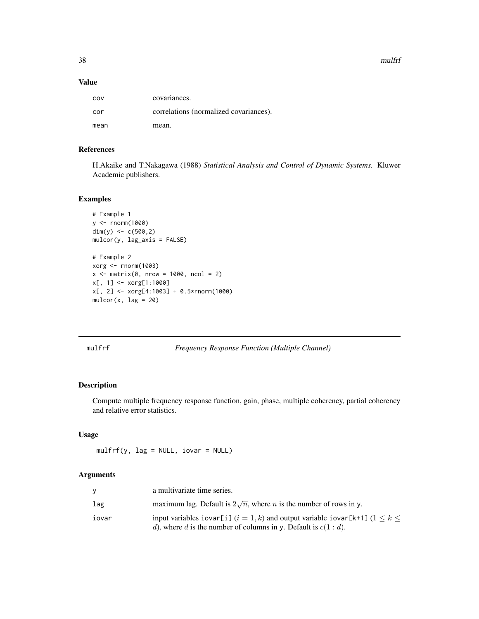38 mulfrf

#### Value

| COV  | covariances.                           |
|------|----------------------------------------|
| cor  | correlations (normalized covariances). |
| mean | mean.                                  |

## References

H.Akaike and T.Nakagawa (1988) *Statistical Analysis and Control of Dynamic Systems.* Kluwer Academic publishers.

## Examples

```
# Example 1
y <- rnorm(1000)
dim(y) <- c(500,2)
mulcor(y, lag_axis = FALSE)
# Example 2
xorg <- rnorm(1003)
x \le - matrix(0, nrow = 1000, ncol = 2)
x[, 1] <- xorg[1:1000]
x[, 2] <- xorg[4:1003] + 0.5*rnorm(1000)
mulcor(x, lag = 20)
```
mulfrf *Frequency Response Function (Multiple Channel)*

## Description

Compute multiple frequency response function, gain, phase, multiple coherency, partial coherency and relative error statistics.

## Usage

mulfrf(y, lag = NULL, iovar = NULL)

|       | a multivariate time series.                                                                                                                                |
|-------|------------------------------------------------------------------------------------------------------------------------------------------------------------|
| lag   | maximum lag. Default is $2\sqrt{n}$ , where <i>n</i> is the number of rows in y.                                                                           |
| iovar | input variables iovar[i] $(i = 1, k)$ and output variable iovar[k+1] $(1 \le k \le k)$<br>d), where d is the number of columns in y. Default is $c(1:d)$ . |

<span id="page-37-0"></span>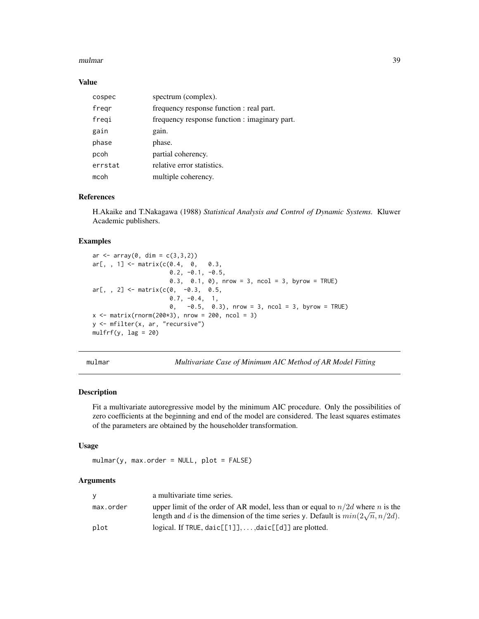#### <span id="page-38-0"></span>mulmar 39

#### Value

| cospec  | spectrum (complex).                           |
|---------|-----------------------------------------------|
| fregr   | frequency response function : real part.      |
| freqi   | frequency response function : imaginary part. |
| gain    | gain.                                         |
| phase   | phase.                                        |
| pcoh    | partial coherency.                            |
| errstat | relative error statistics.                    |
| mcoh    | multiple coherency.                           |

## References

H.Akaike and T.Nakagawa (1988) *Statistical Analysis and Control of Dynamic Systems.* Kluwer Academic publishers.

#### Examples

```
ar < -array(0, dim = c(3, 3, 2))ar[, , 1] <- matrix(c(0.4, 0, 0.3, 0.3)0.2, -0.1, -0.5,0.3, 0.1, 0), nrow = 3, ncol = 3, byrow = TRUE)
ar[,, 2] <- matrix(c(0, -0.3, 0.5,0.7, -0.4, 1,
                     0, -0.5, 0.3), nrow = 3, ncol = 3, byrow = TRUE)
x \le - matrix(rnorm(200*3), nrow = 200, ncol = 3)
y <- mfilter(x, ar, "recursive")
mulfrf(y, lag = 20)
```
<span id="page-38-1"></span>mulmar *Multivariate Case of Minimum AIC Method of AR Model Fitting*

#### Description

Fit a multivariate autoregressive model by the minimum AIC procedure. Only the possibilities of zero coefficients at the beginning and end of the model are considered. The least squares estimates of the parameters are obtained by the householder transformation.

#### Usage

 $mulmar(y, max.order = NULL, plot = FALSE)$ 

| v         | a multivariate time series.                                                                                                        |
|-----------|------------------------------------------------------------------------------------------------------------------------------------|
| max.order | upper limit of the order of AR model, less than or equal to $n/2d$ where n is the                                                  |
|           | length and d is the dimension of the time series y. Default is $min(2\sqrt{n}, n/2d)$ .                                            |
| plot      | logical. If TRUE, $\text{daic}[\begin{bmatrix} 1 \end{bmatrix}, \ldots, \text{daic}[\begin{bmatrix} d \end{bmatrix}]$ are plotted. |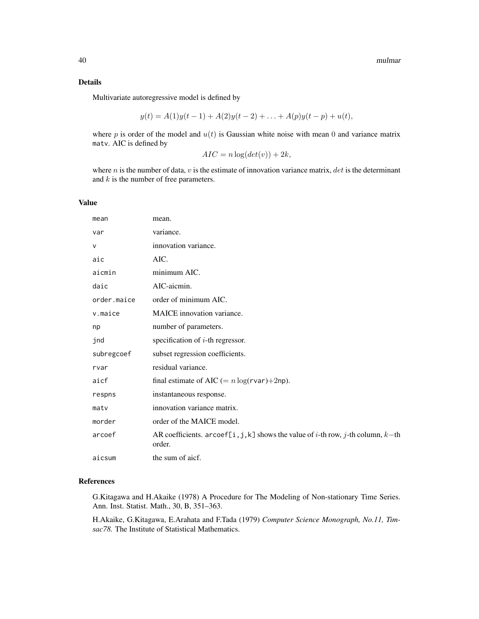## Details

Multivariate autoregressive model is defined by

$$
y(t) = A(1)y(t-1) + A(2)y(t-2) + \ldots + A(p)y(t-p) + u(t),
$$

where  $p$  is order of the model and  $u(t)$  is Gaussian white noise with mean 0 and variance matrix matv. AIC is defined by

```
AIC = n \log(det(v)) + 2k,
```
where  $n$  is the number of data,  $v$  is the estimate of innovation variance matrix,  $det$  is the determinant and  $k$  is the number of free parameters.

## Value

| mean        | mean.                                                                                                        |
|-------------|--------------------------------------------------------------------------------------------------------------|
| var         | variance.                                                                                                    |
| $\vee$      | innovation variance.                                                                                         |
| aic         | AIC.                                                                                                         |
| aicmin      | minimum AIC.                                                                                                 |
| daic        | AIC-aicmin.                                                                                                  |
| order.maice | order of minimum AIC.                                                                                        |
| v.maice     | <b>MAICE</b> innovation variance.                                                                            |
| np          | number of parameters.                                                                                        |
| jnd         | specification of $i$ -th regressor.                                                                          |
| subregcoef  | subset regression coefficients.                                                                              |
| rvar        | residual variance.                                                                                           |
| aicf        | final estimate of AIC (= $n \log(r \text{var}) + 2 \text{np}$ ).                                             |
| respns      | instantaneous response.                                                                                      |
| matv        | innovation variance matrix.                                                                                  |
| morder      | order of the MAICE model.                                                                                    |
| arcoef      | AR coefficients. arcoef[i, j, k] shows the value of <i>i</i> -th row, <i>j</i> -th column, $k$ -th<br>order. |
| aicsum      | the sum of aicf.                                                                                             |

## References

G.Kitagawa and H.Akaike (1978) A Procedure for The Modeling of Non-stationary Time Series. Ann. Inst. Statist. Math., 30, B, 351–363.

H.Akaike, G.Kitagawa, E.Arahata and F.Tada (1979) *Computer Science Monograph, No.11, Timsac78.* The Institute of Statistical Mathematics.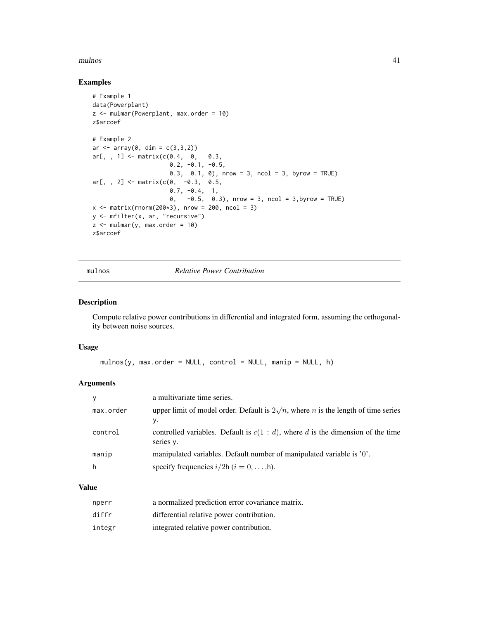#### <span id="page-40-0"></span>mulnos 41

## Examples

```
# Example 1
data(Powerplant)
z <- mulmar(Powerplant, max.order = 10)
z$arcoef
# Example 2
ar < -array(0, dim = c(3, 3, 2))ar[, , 1] \leq matrix(c(0.4, 0, 0.3,0.2, -0.1, -0.5,0.3, 0.1, 0), nrow = 3, ncol = 3, byrow = TRUE)
ar[, , 2] < - matrix(c(0, -0.3, 0.5,
                      0.7, -0.4, 1,
                      0, -0.5, 0.3), nrow = 3, ncol = 3,byrow = TRUE)
x \le - matrix(rnorm(200*3), nrow = 200, ncol = 3)
y <- mfilter(x, ar, "recursive")
z \le mulmar(y, max.order = 10)
z$arcoef
```
mulnos *Relative Power Contribution*

## Description

Compute relative power contributions in differential and integrated form, assuming the orthogonality between noise sources.

## Usage

```
mulnos(y, max.order = NULL, control = NULL, main = NULL, h)
```
#### Arguments

|           | a multivariate time series.                                                                            |
|-----------|--------------------------------------------------------------------------------------------------------|
| max.order | upper limit of model order. Default is $2\sqrt{n}$ , where <i>n</i> is the length of time series<br>у. |
| control   | controlled variables. Default is $c(1 : d)$ , where d is the dimension of the time<br>series y.        |
| manip     | manipulated variables. Default number of manipulated variable is $'0'$ .                               |
| h         | specify frequencies $i/2h$ $(i = 0, \ldots, h)$ .                                                      |

| nperr  | a normalized prediction error covariance matrix. |
|--------|--------------------------------------------------|
| diffr  | differential relative power contribution.        |
| integr | integrated relative power contribution.          |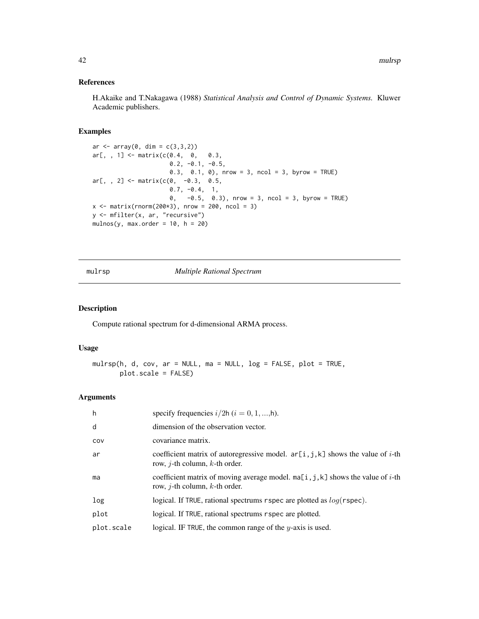## <span id="page-41-0"></span>References

H.Akaike and T.Nakagawa (1988) *Statistical Analysis and Control of Dynamic Systems.* Kluwer Academic publishers.

## Examples

```
ar \leq array(0, dim = c(3,3,2))
ar[, , 1] < - matrix(c(0.4, 0, 0.3, 0.3)0.2, -0.1, -0.5,0.3, 0.1, 0), nrow = 3, ncol = 3, byrow = TRUE)
ar[, , 2] < - matrix(c(0, -0.3, 0.5,0.7, -0.4, 1,0, -0.5, 0.3), nrow = 3, ncol = 3, byrow = TRUE)
x \le - matrix(rnorm(200*3), nrow = 200, ncol = 3)
y <- mfilter(x, ar, "recursive")
mulnos(y, max.order = 10, h = 20)
```
mulrsp *Multiple Rational Spectrum*

## Description

Compute rational spectrum for d-dimensional ARMA process.

## Usage

mulrsp(h, d, cov, ar = NULL, ma = NULL, log = FALSE, plot = TRUE, plot.scale = FALSE)

| h          | specify frequencies $i/2h$ ( $i = 0, 1, , h$ ).                                                                                       |
|------------|---------------------------------------------------------------------------------------------------------------------------------------|
| d          | dimension of the observation vector.                                                                                                  |
| COV        | covariance matrix.                                                                                                                    |
| ar         | coefficient matrix of autoregressive model. $ar[i, j, k]$ shows the value of <i>i</i> -th<br>row, <i>j</i> -th column, $k$ -th order. |
| ma         | coefficient matrix of moving average model. $ma[i, j, k]$ shows the value of <i>i</i> -th<br>row, <i>j</i> -th column, $k$ -th order. |
| log        | logical. If TRUE, rational spectrums rspec are plotted as $log(rspec)$ .                                                              |
| plot       | logical. If TRUE, rational spectrums r spec are plotted.                                                                              |
| plot.scale | logical. IF TRUE, the common range of the $y$ -axis is used.                                                                          |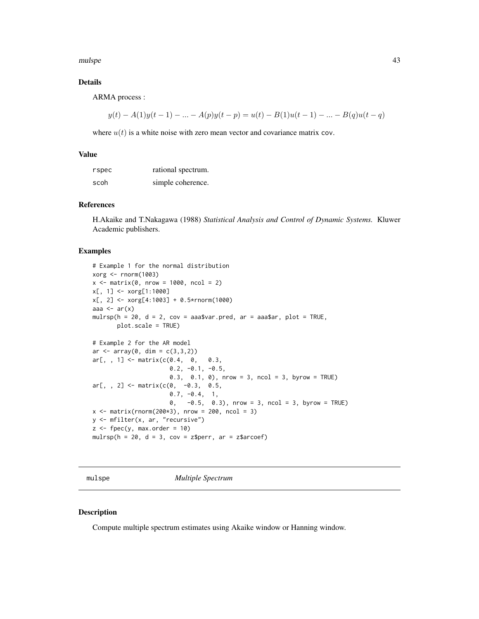<span id="page-42-0"></span>mulspe and the state of the state of the state of the state of the state of the state of the state of the state of the state of the state of the state of the state of the state of the state of the state of the state of the

## Details

ARMA process :

$$
y(t) - A(1)y(t-1) - \dots - A(p)y(t-p) = u(t) - B(1)u(t-1) - \dots - B(q)u(t-q)
$$

where  $u(t)$  is a white noise with zero mean vector and covariance matrix cov.

#### Value

| rspec | rational spectrum. |
|-------|--------------------|
| scoh  | simple coherence.  |

#### References

H.Akaike and T.Nakagawa (1988) *Statistical Analysis and Control of Dynamic Systems.* Kluwer Academic publishers.

#### Examples

```
# Example 1 for the normal distribution
xorg <- rnorm(1003)
x \le - matrix(0, nrow = 1000, ncol = 2)
x[, 1] <- xorg[1:1000]
x[, 2] <- xorg[4:1003] + 0.5*rnorm(1000)
aaa \leftarrow ar(x)mulrsp(h = 20, d = 2, cov = aaa$var.pred, ar = aaa$ar, plot = TRUE,
       plot.scale = TRUE)
# Example 2 for the AR model
ar < -array(0, dim = c(3, 3, 2))ar[, , 1] < - matrix(c(0.4, 0, 0.3, 0.3)0.2, -0.1, -0.5,0.3, 0.1, 0), nrow = 3, ncol = 3, byrow = TRUE)
ar[,, 2] <- matrix(c(0, -0.3, 0.5,0.7, -0.4, 1,
                      0, -0.5, 0.3), nrow = 3, ncol = 3, byrow = TRUE)
x \le - matrix(rnorm(200*3), nrow = 200, ncol = 3)
y <- mfilter(x, ar, "recursive")
z \le fpec(y, max.order = 10)
mulrsp(h = 20, d = 3, cov = z\perr, ar = z\arcoef)
```
mulspe *Multiple Spectrum*

#### Description

Compute multiple spectrum estimates using Akaike window or Hanning window.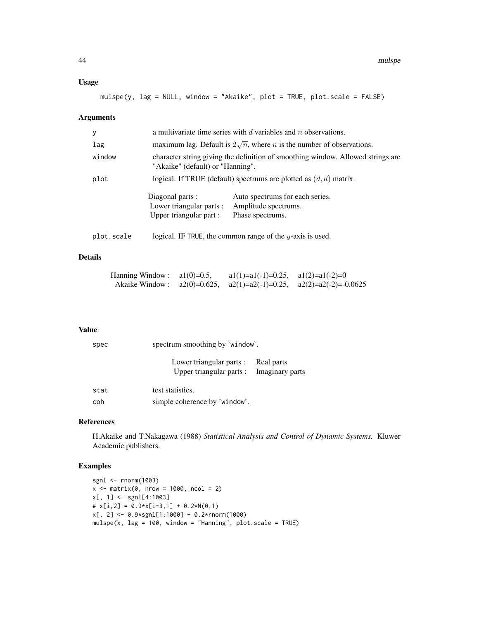## Usage

mulspe(y, lag = NULL, window = "Akaike", plot = TRUE, plot.scale = FALSE)

## Arguments

| У          | a multivariate time series with $d$ variables and $n$ observations.     |                                                                                     |  |
|------------|-------------------------------------------------------------------------|-------------------------------------------------------------------------------------|--|
| lag        |                                                                         | maximum lag. Default is $2\sqrt{n}$ , where <i>n</i> is the number of observations. |  |
| window     | "Akaike" (default) or "Hanning".                                        | character string giving the definition of smoothing window. Allowed strings are     |  |
| plot       | logical. If TRUE (default) spectrums are plotted as $(d, d)$ matrix.    |                                                                                     |  |
|            | Diagonal parts :<br>Lower triangular parts :<br>Upper triangular part : | Auto spectrums for each series.<br>Amplitude spectrums.<br>Phase spectrums.         |  |
| plot.scale |                                                                         | logical. IF TRUE, the common range of the $y$ -axis is used.                        |  |

#### Details

| Hanning Window : $a1(0)=0.5$ , | $a1(1)=a1(-1)=0.25$ , $a1(2)=a1(-2)=0$ |                                                                            |
|--------------------------------|----------------------------------------|----------------------------------------------------------------------------|
|                                |                                        | Akaike Window: $a2(0)=0.625$ , $a2(1)=a2(-1)=0.25$ , $a2(2)=a2(-2)=0.0625$ |

#### Value

| spec | spectrum smoothing by 'window'.                                                 |  |  |
|------|---------------------------------------------------------------------------------|--|--|
|      | Lower triangular parts : Real parts<br>Upper triangular parts : Imaginary parts |  |  |
| stat | test statistics.                                                                |  |  |
| coh  | simple coherence by 'window'.                                                   |  |  |

## References

H.Akaike and T.Nakagawa (1988) *Statistical Analysis and Control of Dynamic Systems.* Kluwer Academic publishers.

## Examples

```
sgnl <- rnorm(1003)
x \le - matrix(0, nrow = 1000, ncol = 2)
x[, 1] < - sgnl[4:1003]
# x[i,2] = 0.9*x[i-3,1] + 0.2*N(0,1)x[, 2] <- 0.9*sgnl[1:1000] + 0.2*rnorm(1000)
mulspe(x, lag = 100, window = "Hanning", plot.scale = TRUE)
```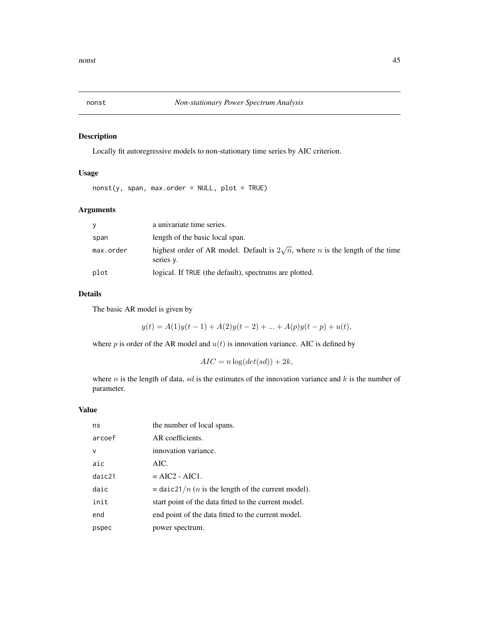## <span id="page-44-1"></span><span id="page-44-0"></span>Description

Locally fit autoregressive models to non-stationary time series by AIC criterion.

## Usage

nonst(y, span, max.order = NULL, plot = TRUE)

## Arguments

| <b>V</b>  | a univariate time series.                                                                                 |
|-----------|-----------------------------------------------------------------------------------------------------------|
| span      | length of the basic local span.                                                                           |
| max.order | highest order of AR model. Default is $2\sqrt{n}$ , where <i>n</i> is the length of the time<br>series y. |
| plot      | logical. If TRUE (the default), spectrums are plotted.                                                    |

## Details

The basic AR model is given by

 $y(t) = A(1)y(t-1) + A(2)y(t-2) + ... + A(p)y(t-p) + u(t),$ 

where  $p$  is order of the AR model and  $u(t)$  is innovation variance. AIC is defined by

$$
AIC = n \log(det(sd)) + 2k,
$$

where  $n$  is the length of data,  $sd$  is the estimates of the innovation variance and  $k$  is the number of parameter.

| ns           | the number of local spans.                                           |
|--------------|----------------------------------------------------------------------|
| arcoef       | AR coefficients.                                                     |
| $\mathsf{V}$ | innovation variance.                                                 |
| aic          | AIC.                                                                 |
| daic21       | $= AIC2 - AIC1$ .                                                    |
| daic         | $=$ daic21/ <i>n</i> ( <i>n</i> is the length of the current model). |
| init         | start point of the data fitted to the current model.                 |
| end          | end point of the data fitted to the current model.                   |
| pspec        | power spectrum.                                                      |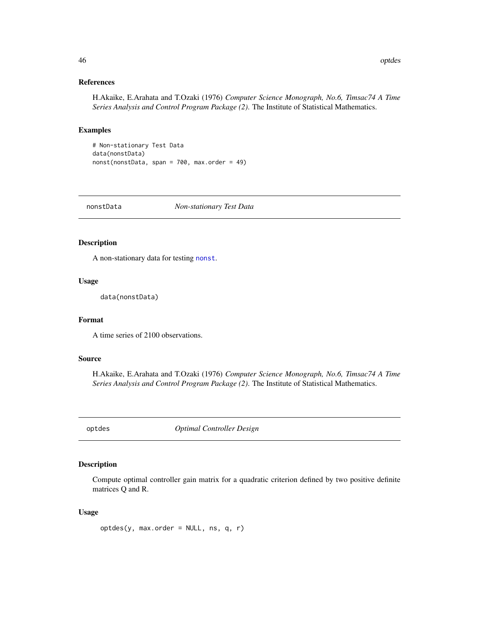#### References

H.Akaike, E.Arahata and T.Ozaki (1976) *Computer Science Monograph, No.6, Timsac74 A Time Series Analysis and Control Program Package (2)*. The Institute of Statistical Mathematics.

#### Examples

# Non-stationary Test Data data(nonstData) nonst(nonstData, span = 700, max.order = 49)

nonstData *Non-stationary Test Data*

## Description

A non-stationary data for testing [nonst](#page-44-1).

#### Usage

data(nonstData)

#### Format

A time series of 2100 observations.

#### Source

H.Akaike, E.Arahata and T.Ozaki (1976) *Computer Science Monograph, No.6, Timsac74 A Time Series Analysis and Control Program Package (2)*. The Institute of Statistical Mathematics.

optdes *Optimal Controller Design*

## Description

Compute optimal controller gain matrix for a quadratic criterion defined by two positive definite matrices Q and R.

## Usage

optdes(y, max.order = NULL, ns, q, r)

<span id="page-45-0"></span>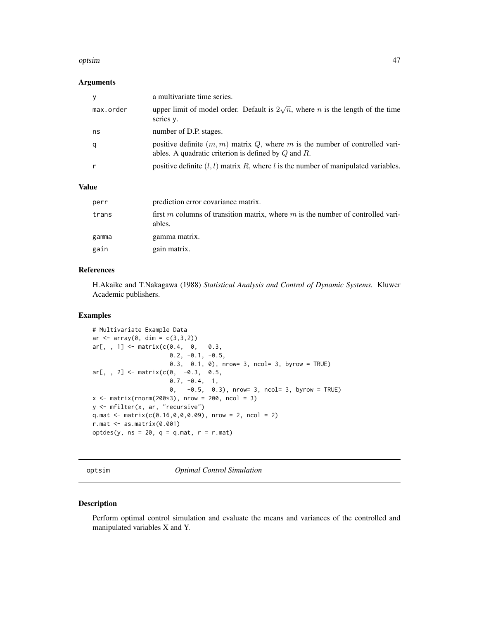#### <span id="page-46-0"></span>optsim 47

## Arguments

| у         | a multivariate time series.                                                                                                                |
|-----------|--------------------------------------------------------------------------------------------------------------------------------------------|
| max.order | upper limit of model order. Default is $2\sqrt{n}$ , where <i>n</i> is the length of the time<br>series y.                                 |
| ns        | number of D.P. stages.                                                                                                                     |
| q         | positive definite $(m, m)$ matrix Q, where m is the number of controlled vari-<br>ables. A quadratic criterion is defined by $Q$ and $R$ . |
|           | positive definite $(l, l)$ matrix R, where l is the number of manipulated variables.                                                       |

#### Value

| perr  | prediction error covariance matrix.                                                       |
|-------|-------------------------------------------------------------------------------------------|
| trans | first m columns of transition matrix, where m is the number of controlled vari-<br>ables. |
| gamma | gamma matrix.                                                                             |
| gain  | gain matrix.                                                                              |

## References

H.Akaike and T.Nakagawa (1988) *Statistical Analysis and Control of Dynamic Systems.* Kluwer Academic publishers.

#### Examples

```
# Multivariate Example Data
ar < -array(0, dim = c(3, 3, 2))ar[,, 1] <- matrix(c(0.4, 0, 0.3,0.2, -0.1, -0.5,0.3, 0.1, 0), nrow= 3, ncol= 3, byrow = TRUE)
ar[,, 2] <- matrix(c(0, -0.3, 0.5,0.7, -0.4, 1,
                      0, -0.5, 0.3), nrow= 3, ncol= 3, byrow = TRUE)
x \le - matrix(rnorm(200*3), nrow = 200, ncol = 3)
y <- mfilter(x, ar, "recursive")
q.mat <- matrix(c(0.16, 0, 0, 0.09), nrow = 2, ncol = 2)
r.\text{mat} < -\text{as}.\text{matrix}(0.001)optdes(y, ns = 20, q = q.mat, r = r.mat)
```
optsim *Optimal Control Simulation*

## Description

Perform optimal control simulation and evaluate the means and variances of the controlled and manipulated variables X and Y.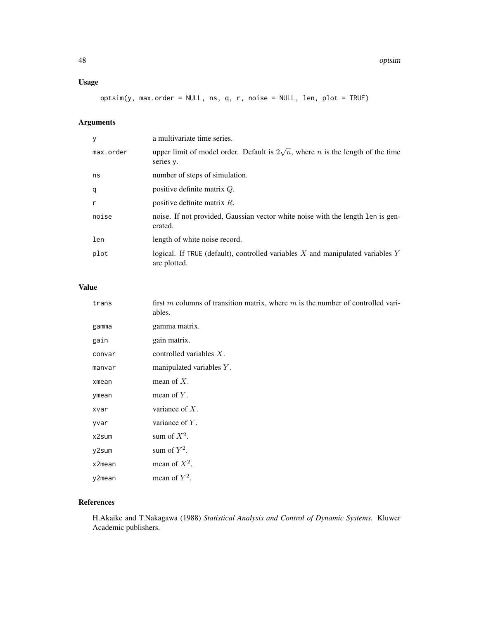## Usage

optsim(y, max.order = NULL, ns, q, r, noise = NULL, len, plot = TRUE)

## Arguments

| У         | a multivariate time series.                                                                                |
|-----------|------------------------------------------------------------------------------------------------------------|
| max.order | upper limit of model order. Default is $2\sqrt{n}$ , where <i>n</i> is the length of the time<br>series y. |
| ns        | number of steps of simulation.                                                                             |
| q         | positive definite matrix $Q$ .                                                                             |
| r         | positive definite matrix $R$ .                                                                             |
| noise     | noise. If not provided, Gaussian vector white noise with the length len is gen-<br>erated.                 |
| len       | length of white noise record.                                                                              |
| plot      | logical. If TRUE (default), controlled variables $X$ and manipulated variables $Y$<br>are plotted.         |

## Value

| trans  | first m columns of transition matrix, where $m$ is the number of controlled vari-<br>ables. |
|--------|---------------------------------------------------------------------------------------------|
| gamma  | gamma matrix.                                                                               |
| gain   | gain matrix.                                                                                |
| convar | controlled variables $X$ .                                                                  |
| manvar | manipulated variables $Y$ .                                                                 |
| xmean  | mean of $X$ .                                                                               |
| ymean  | mean of $Y$ .                                                                               |
| xvar   | variance of $X$ .                                                                           |
| yvar   | variance of $Y$ .                                                                           |
| x2sum  | sum of $X^2$ .                                                                              |
| y2sum  | sum of $Y^2$ .                                                                              |
| x2mean | mean of $X^2$ .                                                                             |
| y2mean | mean of $Y^2$ .                                                                             |

## References

H.Akaike and T.Nakagawa (1988) *Statistical Analysis and Control of Dynamic Systems.* Kluwer Academic publishers.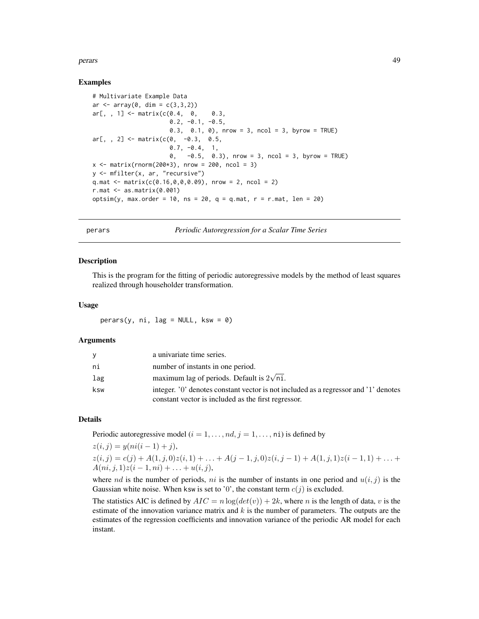#### <span id="page-48-0"></span>perars and the contract of the contract of the contract of the contract of the contract of the contract of the contract of the contract of the contract of the contract of the contract of the contract of the contract of the

## Examples

```
# Multivariate Example Data
ar < -array(0, dim = c(3, 3, 2))ar[,, 1] <- matrix(c(0.4, 0, 0.3, 0.3)0.2, -0.1, -0.5,0.3, 0.1, 0), nrow = 3, ncol = 3, byrow = TRUE)
ar[,, 2] <- matrix(c(0, -0.3, 0.5,0.7, -0.4, 1,
                      0, -0.5, 0.3), nrow = 3, ncol = 3, byrow = TRUE)
x \le - matrix(rnorm(200*3), nrow = 200, ncol = 3)
y <- mfilter(x, ar, "recursive")
q.mat <- matrix(c(0.16, 0, 0, 0.09), nrow = 2, ncol = 2)
r.mat \leftarrow as.matrix(0.001)optsim(y, max.order = 10, ns = 20, q = q.mat, r = r.mat, len = 20)
```
perars *Periodic Autoregression for a Scalar Time Series*

#### Description

This is the program for the fitting of periodic autoregressive models by the method of least squares realized through householder transformation.

#### Usage

 $perars(y, ni, lag = NULL, ksw = 0)$ 

#### Arguments

| V   | a univariate time series.                                                                                                                  |
|-----|--------------------------------------------------------------------------------------------------------------------------------------------|
| ni  | number of instants in one period.                                                                                                          |
| lag | maximum lag of periods. Default is $2\sqrt{ni}$ .                                                                                          |
| ksw | integer. '0' denotes constant vector is not included as a regressor and '1' denotes<br>constant vector is included as the first regressor. |

## Details

Periodic autoregressive model ( $i = 1, \ldots, nd, j = 1, \ldots, n$ i) is defined by

$$
z(i, j) = y(ni(i - 1) + j),
$$
  
\n
$$
z(i, j) = c(j) + A(1, j, 0)z(i, 1) + \ldots + A(j - 1, j, 0)z(i, j - 1) + A(1, j, 1)z(i - 1, 1) + \ldots + A(ni, j, 1)z(i - 1, ni) + \ldots + u(i, j),
$$

where nd is the number of periods, ni is the number of instants in one period and  $u(i, j)$  is the Gaussian white noise. When ksw is set to '0', the constant term  $c(j)$  is excluded.

The statistics AIC is defined by  $AIC = n \log(det(v)) + 2k$ , where n is the length of data, v is the estimate of the innovation variance matrix and  $k$  is the number of parameters. The outputs are the estimates of the regression coefficients and innovation variance of the periodic AR model for each instant.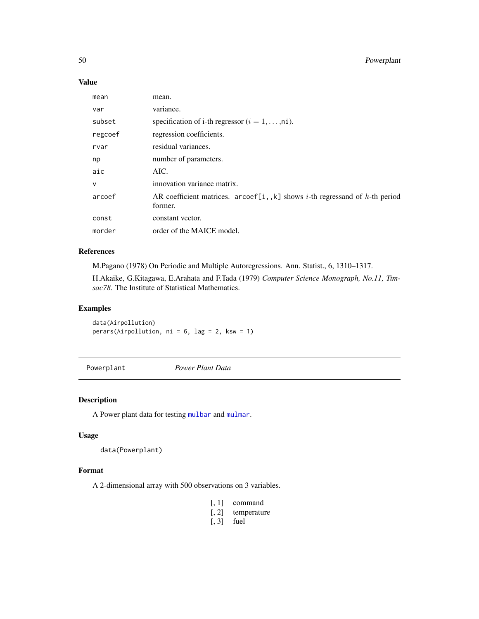## <span id="page-49-0"></span>Value

| mean         | mean.                                                                                                    |
|--------------|----------------------------------------------------------------------------------------------------------|
| var          | variance.                                                                                                |
| subset       | specification of i-th regressor $(i = 1, \ldots, n_i)$ .                                                 |
| regcoef      | regression coefficients.                                                                                 |
| rvar         | residual variances.                                                                                      |
| np           | number of parameters.                                                                                    |
| aic          | AIC.                                                                                                     |
| $\mathsf{v}$ | innovation variance matrix.                                                                              |
| arcoef       | AR coefficient matrices. $arcoeff[i, k]$ shows <i>i</i> -th regressand of <i>k</i> -th period<br>former. |
| const        | constant vector.                                                                                         |
| morder       | order of the MAICE model.                                                                                |

#### References

M.Pagano (1978) On Periodic and Multiple Autoregressions. Ann. Statist., 6, 1310–1317.

H.Akaike, G.Kitagawa, E.Arahata and F.Tada (1979) *Computer Science Monograph, No.11, Timsac78.* The Institute of Statistical Mathematics.

## Examples

data(Airpollution) perars(Airpollution, ni = 6, lag = 2, ksw = 1)

Powerplant *Power Plant Data*

## Description

A Power plant data for testing [mulbar](#page-34-1) and [mulmar](#page-38-1).

## Usage

data(Powerplant)

#### Format

A 2-dimensional array with 500 observations on 3 variables.

- [, 1] command
- [, 2] temperature
- [, 3] fuel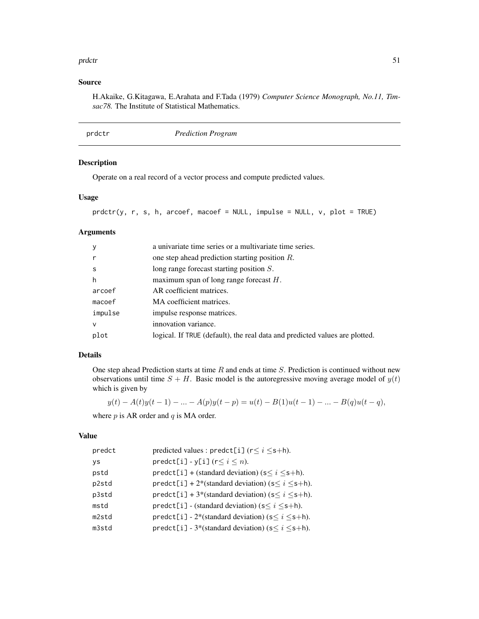#### <span id="page-50-0"></span>prdctr 51

## Source

H.Akaike, G.Kitagawa, E.Arahata and F.Tada (1979) *Computer Science Monograph, No.11, Timsac78.* The Institute of Statistical Mathematics.

## Description

Operate on a real record of a vector process and compute predicted values.

## Usage

```
\text{prdctr}(y, r, s, h, \text{arcoef}, \text{macoef} = \text{NULL}, \text{impulse} = \text{NULL}, \text{v}, \text{plot} = \text{TRUE})
```
## Arguments

| $\mathsf{V}$ | a univariate time series or a multivariate time series.                     |
|--------------|-----------------------------------------------------------------------------|
|              | one step ahead prediction starting position $R$ .                           |
| -S           | long range forecast starting position $S$ .                                 |
| h            | maximum span of long range forecast $H$ .                                   |
| arcoef       | AR coefficient matrices.                                                    |
| macoef       | MA coefficient matrices.                                                    |
| impulse      | impulse response matrices.                                                  |
| $\mathsf{V}$ | innovation variance.                                                        |
| plot         | logical. If TRUE (default), the real data and predicted values are plotted. |
|              |                                                                             |

## Details

One step ahead Prediction starts at time  $R$  and ends at time  $S$ . Prediction is continued without new observations until time  $S + H$ . Basic model is the autoregressive moving average model of  $y(t)$ which is given by

 $y(t) - A(t)y(t-1) - \ldots - A(p)y(t-p) = u(t) - B(1)u(t-1) - \ldots - B(q)u(t-q),$ 

where  $p$  is AR order and  $q$  is MA order.

| predicted values : predct[i] ( $r \le i \le s+h$ ).         |
|-------------------------------------------------------------|
| $predict[i] - y[i] (r \le i \le n).$                        |
| $predict[i] + (standard deviation) (s \le i \le s+h).$      |
| $predict[i] + 2*(standard deviation)$ (s $\le i \le s+h$ ). |
| $predict[i] + 3*(standard deviation)$ (s $\le i \le s+h$ ). |
| predct[i] - (standard deviation) ( $s \le i \le s+h$ ).     |
| predct[i] - 2*(standard deviation) ( $s \le i \le s+h$ ).   |
| predct[i] - 3*(standard deviation) ( $s \le i \le s+h$ ).   |
|                                                             |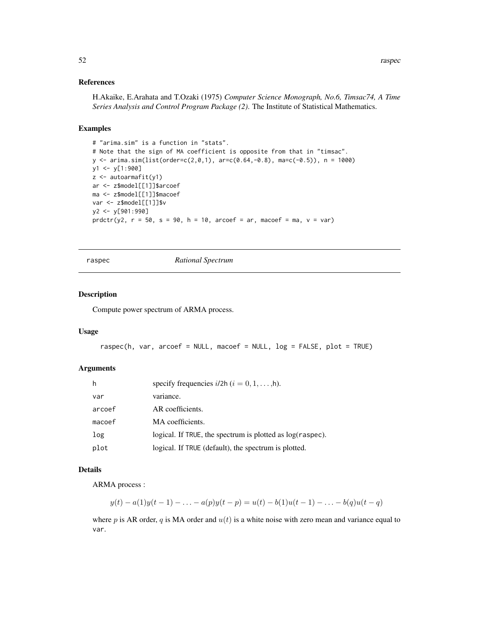## <span id="page-51-0"></span>References

H.Akaike, E.Arahata and T.Ozaki (1975) *Computer Science Monograph, No.6, Timsac74, A Time Series Analysis and Control Program Package (2)*. The Institute of Statistical Mathematics.

## Examples

```
# "arima.sim" is a function in "stats".
# Note that the sign of MA coefficient is opposite from that in "timsac".
y \le -\arima.sim(list(order=c(2,0,1), arc=c(0.64,-0.8), mac(-0.5)), n = 1000)y1 <- y[1:900]
z <- autoarmafit(y1)
ar <- z$model[[1]]$arcoef
ma <- z$model[[1]]$macoef
var <- z$model[[1]]$v
y2 <- y[901:990]
prdctr(y2, r = 50, s = 90, h = 10, arcoef = ar, macoef = ma, v = var)
```
raspec *Rational Spectrum*

#### Description

Compute power spectrum of ARMA process.

#### Usage

```
raspec(h, var, arcoef = NULL, macoef = NULL, log = FALSE, plot = TRUE)
```
#### Arguments

| h      | specify frequencies $i/2h$ $(i = 0, 1, \ldots, h)$ .          |
|--------|---------------------------------------------------------------|
| var    | variance.                                                     |
| arcoef | AR coefficients.                                              |
| macoef | MA coefficients.                                              |
| log    | logical. If TRUE, the spectrum is plotted as $log(r\alpha)$ . |
| plot   | logical. If TRUE (default), the spectrum is plotted.          |

#### Details

ARMA process :

$$
y(t) - a(1)y(t-1) - \ldots - a(p)y(t-p) = u(t) - b(1)u(t-1) - \ldots - b(q)u(t-q)
$$

where p is AR order, q is MA order and  $u(t)$  is a white noise with zero mean and variance equal to var.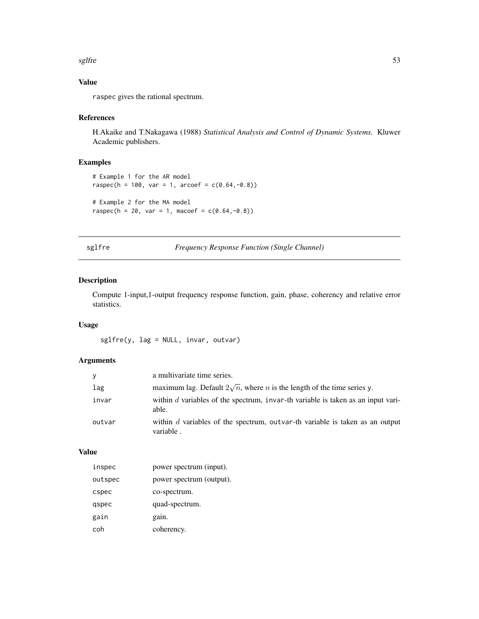#### <span id="page-52-0"></span>sglfre 53

## Value

raspec gives the rational spectrum.

## References

H.Akaike and T.Nakagawa (1988) *Statistical Analysis and Control of Dynamic Systems.* Kluwer Academic publishers.

## Examples

```
# Example 1 for the AR model
raspec(h = 100, var = 1, arcoef = c(0.64,-0.8))
# Example 2 for the MA model
raspec(h = 20, var = 1, macoef = c(0.64, -0.8))
```
sglfre *Frequency Response Function (Single Channel)*

## Description

Compute 1-input,1-output frequency response function, gain, phase, coherency and relative error statistics.

## Usage

sglfre(y, lag = NULL, invar, outvar)

## Arguments

| <b>V</b> | a multivariate time series.                                                                 |
|----------|---------------------------------------------------------------------------------------------|
| lag      | maximum lag. Default $2\sqrt{n}$ , where <i>n</i> is the length of the time series y.       |
| invar    | within $d$ variables of the spectrum, invar-th variable is taken as an input vari-<br>able. |
| outvar   | within $d$ variables of the spectrum, outvar-th variable is taken as an output<br>variable. |

| inspec  | power spectrum (input).  |
|---------|--------------------------|
| outspec | power spectrum (output). |
| cspec   | co-spectrum.             |
| qspec   | quad-spectrum.           |
| gain    | gain.                    |
| coh     | coherency.               |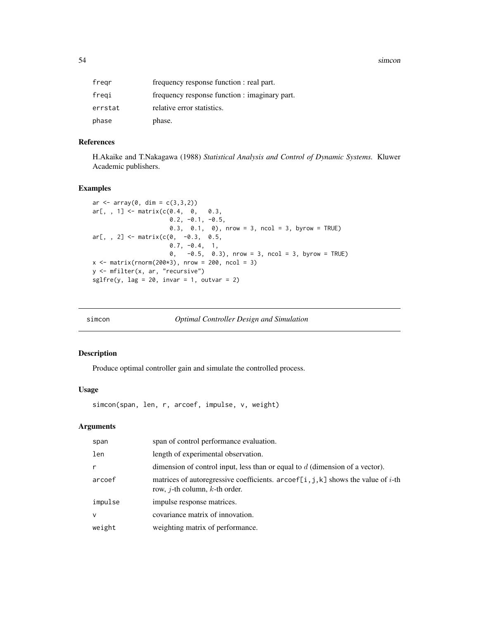<span id="page-53-0"></span>54 simcon since the state of the state of the state of the state of the state of the state of the state of the state of the state of the state of the state of the state of the state of the state of the state of the state o

| fregr   | frequency response function : real part.      |
|---------|-----------------------------------------------|
| fregi   | frequency response function : imaginary part. |
| errstat | relative error statistics.                    |
| phase   | phase.                                        |

## References

H.Akaike and T.Nakagawa (1988) *Statistical Analysis and Control of Dynamic Systems.* Kluwer Academic publishers.

#### Examples

```
ar < -array(0, dim = c(3, 3, 2))ar[, , 1] < - matrix(c(0.4, 0, 0.3, 0.3)0.2, -0.1, -0.5,0.3, 0.1, 0), nrow = 3, ncol = 3, byrow = TRUE)
ar[,, 2] <- matrix(c(0, -0.3, 0.5,0.7, -0.4, 1,
                     0, -0.5, 0.3), nrow = 3, ncol = 3, byrow = TRUE)
x \le - matrix(rnorm(200*3), nrow = 200, ncol = 3)
y <- mfilter(x, ar, "recursive")
sglfre(y, lag = 20, invar = 1, outvar = 2)
```
<span id="page-53-1"></span>

| Simcon |  |
|--------|--|
|        |  |

**Optimal Controller Design and Simulation** 

## Description

Produce optimal controller gain and simulate the controlled process.

#### Usage

simcon(span, len, r, arcoef, impulse, v, weight)

| span         | span of control performance evaluation.                                                                                               |
|--------------|---------------------------------------------------------------------------------------------------------------------------------------|
| len          | length of experimental observation.                                                                                                   |
| r            | dimension of control input, less than or equal to $d$ (dimension of a vector).                                                        |
| arcoef       | matrices of autoregressive coefficients. $ar\text{coef}[i, j, k]$ shows the value of i-th<br>row, <i>j</i> -th column, $k$ -th order. |
| impulse      | impulse response matrices.                                                                                                            |
| $\mathsf{v}$ | covariance matrix of innovation.                                                                                                      |
| weight       | weighting matrix of performance.                                                                                                      |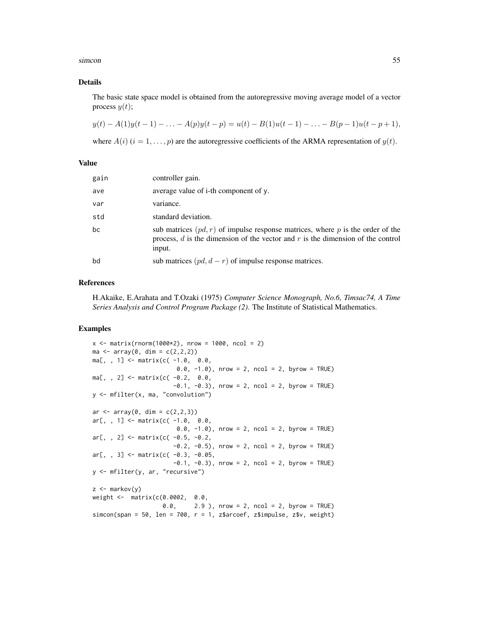simcon 55

#### Details

The basic state space model is obtained from the autoregressive moving average model of a vector process  $y(t)$ ;

$$
y(t) - A(1)y(t-1) - \ldots - A(p)y(t-p) = u(t) - B(1)u(t-1) - \ldots - B(p-1)u(t-p+1),
$$

where  $A(i)$   $(i = 1, \ldots, p)$  are the autoregressive coefficients of the ARMA representation of  $y(t)$ .

#### Value

| gain | controller gain.                                                                                                                                                                  |
|------|-----------------------------------------------------------------------------------------------------------------------------------------------------------------------------------|
| ave  | average value of i-th component of y.                                                                                                                                             |
| var  | variance.                                                                                                                                                                         |
| std  | standard deviation.                                                                                                                                                               |
| bc   | sub matrices $(pd, r)$ of impulse response matrices, where p is the order of the<br>process, $d$ is the dimension of the vector and $r$ is the dimension of the control<br>input. |
| bd   | sub matrices $(pd, d - r)$ of impulse response matrices.                                                                                                                          |

## References

H.Akaike, E.Arahata and T.Ozaki (1975) *Computer Science Monograph, No.6, Timsac74, A Time Series Analysis and Control Program Package (2)*. The Institute of Statistical Mathematics.

#### Examples

```
x \le - matrix(rnorm(1000*2), nrow = 1000, ncol = 2)
ma \leq array(0, dim = c(2, 2, 2))ma[,, 1] <- matrix(c(-1.0, 0.0,0.0, -1.0, nrow = 2, ncol = 2, byrow = TRUE)
ma[,, 2] <- matrix(c(-0.2, 0.0,-0.1, -0.3, nrow = 2, ncol = 2, byrow = TRUE)
y <- mfilter(x, ma, "convolution")
ar < -array(0, dim = c(2, 2, 3))ar[,, 1] <- matrix(c(-1.0, 0.0,
                       0.0, -1.0), nrow = 2, ncol = 2, byrow = TRUE)
ar[,, 2] <- matrix(c( -0.5, -0.2,
                      -0.2, -0.5), nrow = 2, ncol = 2, byrow = TRUE)
ar[,, 3] <- matrix(c( -0.3, -0.05,
                       -0.1, -0.3), nrow = 2, ncol = 2, byrow = TRUE)
y <- mfilter(y, ar, "recursive")
z < - markov(y)
weight <- matrix(c(0.0002, 0.0,
                    0.0, 2.9 ), nrow = 2, ncol = 2, byrow = TRUE)
simcon(span = 50, len = 700, r = 1, z$arcoef, z$impulse, z$v, weight)
```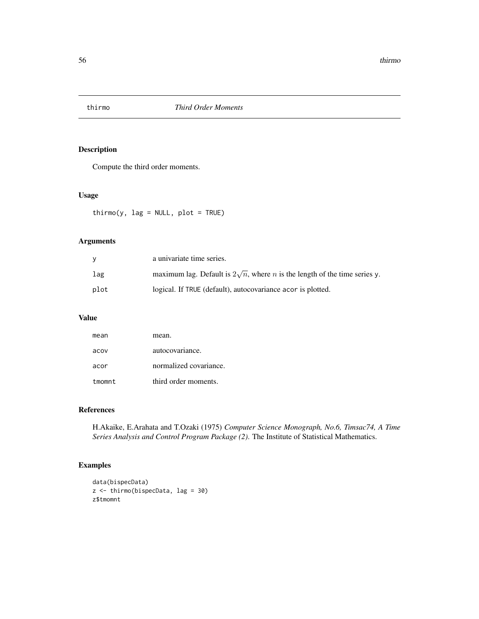<span id="page-55-1"></span><span id="page-55-0"></span>

## Description

Compute the third order moments.

## Usage

 $\text{thirmo}(y, \text{ lag} = \text{NULL}, \text{ plot} = \text{TRUE})$ 

## Arguments

|      | a univariate time series.                                                                |
|------|------------------------------------------------------------------------------------------|
| lag  | maximum lag. Default is $2\sqrt{n}$ , where <i>n</i> is the length of the time series y. |
| plot | logical. If TRUE (default), autocovariance acor is plotted.                              |

## Value

| mean   | mean.                  |
|--------|------------------------|
| acov   | autocovariance.        |
| acor   | normalized covariance. |
| tmomnt | third order moments.   |

## References

H.Akaike, E.Arahata and T.Ozaki (1975) *Computer Science Monograph, No.6, Timsac74, A Time Series Analysis and Control Program Package (2)*. The Institute of Statistical Mathematics.

## Examples

```
data(bispecData)
z <- thirmo(bispecData, lag = 30)
z$tmomnt
```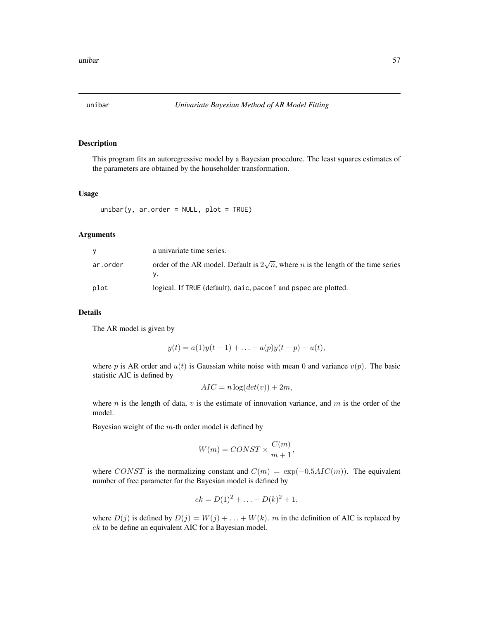<span id="page-56-1"></span><span id="page-56-0"></span>

## Description

This program fits an autoregressive model by a Bayesian procedure. The least squares estimates of the parameters are obtained by the householder transformation.

#### Usage

unibar(y, ar.order = NULL, plot = TRUE)

#### Arguments

| V        | a univariate time series.                                                                       |
|----------|-------------------------------------------------------------------------------------------------|
| ar.order | order of the AR model. Default is $2\sqrt{n}$ , where <i>n</i> is the length of the time series |
| plot     | logical. If TRUE (default), daic, pacoef and pspec are plotted.                                 |

## Details

The AR model is given by

$$
y(t) = a(1)y(t-1) + \ldots + a(p)y(t-p) + u(t),
$$

where p is AR order and  $u(t)$  is Gaussian white noise with mean 0 and variance  $v(p)$ . The basic statistic AIC is defined by

$$
AIC = n \log(det(v)) + 2m,
$$

where n is the length of data,  $v$  is the estimate of innovation variance, and  $m$  is the order of the model.

Bayesian weight of the  $m$ -th order model is defined by

$$
W(m) = CONST \times \frac{C(m)}{m+1},
$$

where CONST is the normalizing constant and  $C(m) = \exp(-0.5AIC(m))$ . The equivalent number of free parameter for the Bayesian model is defined by

$$
ek = D(1)^2 + \ldots + D(k)^2 + 1,
$$

where  $D(j)$  is defined by  $D(j) = W(j) + \ldots + W(k)$ . m in the definition of AIC is replaced by ek to be define an equivalent AIC for a Bayesian model.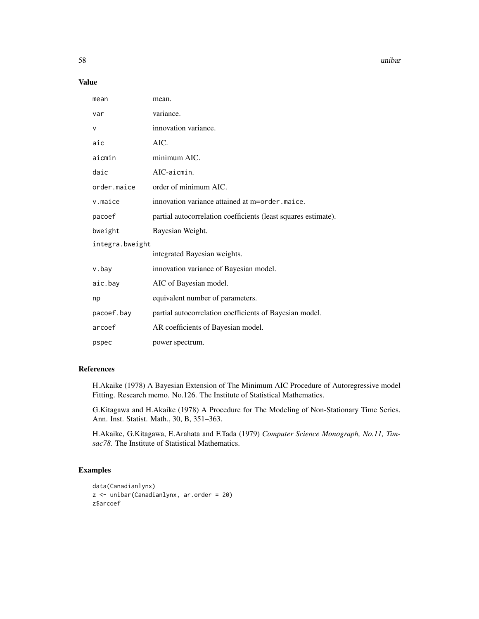58 unibar 1999 unibar 1999 unibar 1999 unibar 1999 unibar 1999 unibar 1999 unibar 1999 unibar

## Value

| mean            | mean.                                                          |
|-----------------|----------------------------------------------------------------|
| var             | variance.                                                      |
| v               | innovation variance.                                           |
| aic             | AIC.                                                           |
| aicmin          | minimum AIC.                                                   |
| daic            | AIC-aicmin.                                                    |
| order.maice     | order of minimum AIC.                                          |
| v.maice         | innovation variance attained at m=order maice.                 |
| pacoef          | partial autocorrelation coefficients (least squares estimate). |
| bweight         | Bayesian Weight.                                               |
| integra.bweight |                                                                |
|                 | integrated Bayesian weights.                                   |
| v.bay           | innovation variance of Bayesian model.                         |
| aic.bay         | AIC of Bayesian model.                                         |
| np              | equivalent number of parameters.                               |
| pacoef.bay      | partial autocorrelation coefficients of Bayesian model.        |
| arcoef          | AR coefficients of Bayesian model.                             |
| pspec           | power spectrum.                                                |

## References

H.Akaike (1978) A Bayesian Extension of The Minimum AIC Procedure of Autoregressive model Fitting. Research memo. No.126. The Institute of Statistical Mathematics.

G.Kitagawa and H.Akaike (1978) A Procedure for The Modeling of Non-Stationary Time Series. Ann. Inst. Statist. Math., 30, B, 351–363.

H.Akaike, G.Kitagawa, E.Arahata and F.Tada (1979) *Computer Science Monograph, No.11, Timsac78.* The Institute of Statistical Mathematics.

## Examples

```
data(Canadianlynx)
z <- unibar(Canadianlynx, ar.order = 20)
z$arcoef
```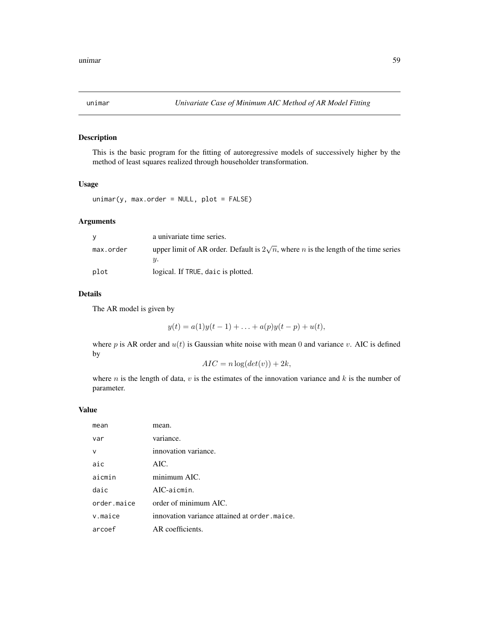<span id="page-58-1"></span><span id="page-58-0"></span>

## Description

This is the basic program for the fitting of autoregressive models of successively higher by the method of least squares realized through householder transformation.

## Usage

```
unimar(y, max.order = NULL, plot = FALSE)
```
## Arguments

|           | a univariate time series.                                                                         |
|-----------|---------------------------------------------------------------------------------------------------|
| max.order | upper limit of AR order. Default is $2\sqrt{n}$ , where <i>n</i> is the length of the time series |
| plot      | logical. If TRUE, daic is plotted.                                                                |

#### Details

The AR model is given by

$$
y(t) = a(1)y(t-1) + \ldots + a(p)y(t-p) + u(t),
$$

where p is AR order and  $u(t)$  is Gaussian white noise with mean 0 and variance v. AIC is defined by

$$
AIC = n \log(det(v)) + 2k,
$$

where n is the length of data,  $v$  is the estimates of the innovation variance and  $k$  is the number of parameter.

| mean        | mean.                                         |
|-------------|-----------------------------------------------|
| var         | variance.                                     |
| v           | innovation variance.                          |
| aic         | AIC.                                          |
| aicmin      | minimum AIC.                                  |
| daic        | $AIC$ -aicmin.                                |
| order.maice | order of minimum AIC.                         |
| v.maice     | innovation variance attained at order, maice. |
| arcoef      | AR coefficients.                              |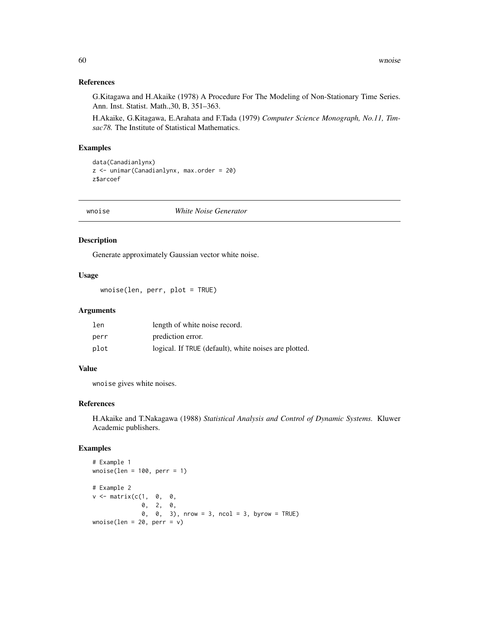## References

G.Kitagawa and H.Akaike (1978) A Procedure For The Modeling of Non-Stationary Time Series. Ann. Inst. Statist. Math.,30, B, 351–363.

H.Akaike, G.Kitagawa, E.Arahata and F.Tada (1979) *Computer Science Monograph, No.11, Timsac78.* The Institute of Statistical Mathematics.

### Examples

```
data(Canadianlynx)
z <- unimar(Canadianlynx, max.order = 20)
z$arcoef
```
wnoise *White Noise Generator*

## Description

Generate approximately Gaussian vector white noise.

## Usage

wnoise(len, perr, plot = TRUE)

#### Arguments

| len  | length of white noise record.                         |
|------|-------------------------------------------------------|
| perr | prediction error.                                     |
| plot | logical. If TRUE (default), white noises are plotted. |

## Value

wnoise gives white noises.

## References

H.Akaike and T.Nakagawa (1988) *Statistical Analysis and Control of Dynamic Systems.* Kluwer Academic publishers.

## Examples

```
# Example 1
wnoise(len = 100, perr = 1)
# Example 2
v \le matrix(c(1, 0, 0,
             0, 2, 0,
             0, 0, 3), nrow = 3, ncol = 3, byrow = TRUE)
wnoise(len = 20, perr = v)
```
<span id="page-59-0"></span>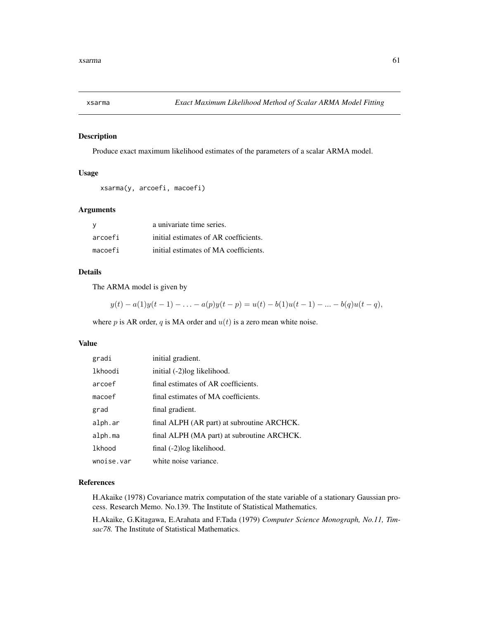<span id="page-60-0"></span>

#### Description

Produce exact maximum likelihood estimates of the parameters of a scalar ARMA model.

## Usage

```
xsarma(y, arcoefi, macoefi)
```
#### Arguments

| ∣V      | a univariate time series.             |
|---------|---------------------------------------|
| arcoefi | initial estimates of AR coefficients. |
| macoefi | initial estimates of MA coefficients. |

## Details

The ARMA model is given by

$$
y(t) - a(1)y(t-1) - \ldots - a(p)y(t-p) = u(t) - b(1)u(t-1) - \ldots - b(q)u(t-q),
$$

where p is AR order, q is MA order and  $u(t)$  is a zero mean white noise.

#### Value

| gradi      | initial gradient.                          |
|------------|--------------------------------------------|
| lkhoodi    | initial (-2)log likelihood.                |
| arcoef     | final estimates of AR coefficients.        |
| macoef     | final estimates of MA coefficients.        |
| grad       | final gradient.                            |
| alph.ar    | final ALPH (AR part) at subroutine ARCHCK. |
| alph.ma    | final ALPH (MA part) at subroutine ARCHCK. |
| lkhood     | final (-2) log likelihood.                 |
| wnoise.var | white noise variance.                      |

## References

H.Akaike (1978) Covariance matrix computation of the state variable of a stationary Gaussian process. Research Memo. No.139. The Institute of Statistical Mathematics.

H.Akaike, G.Kitagawa, E.Arahata and F.Tada (1979) *Computer Science Monograph, No.11, Timsac78.* The Institute of Statistical Mathematics.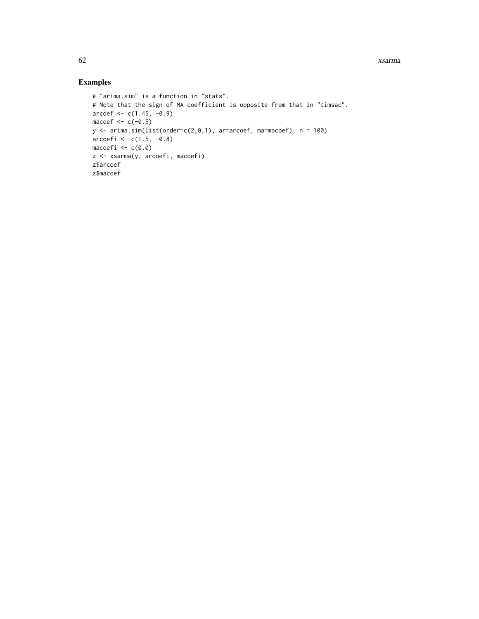## Examples

```
# "arima.sim" is a function in "stats".
# Note that the sign of MA coefficient is opposite from that in "timsac".
\arccos f \leq c(1.45, -0.9)macoef <-c(-0.5)y \le -\arima.sim(list(order=c(2,0,1), ar=arcoef, ma=macoef), n = 100)arcoefi <- c(1.5, -0.8)
macoefi <- c(0.0)
z <- xsarma(y, arcoefi, macoefi)
z$arcoef
z$macoef
```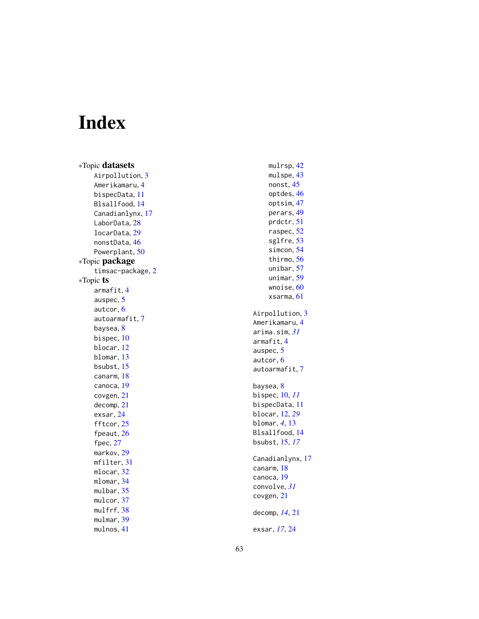# <span id="page-62-0"></span>Index

∗Topic datasets Airpollution, [3](#page-2-0) Amerikamaru , [4](#page-3-0) bispecData , [11](#page-10-0) Blsallfood , [14](#page-13-0) Canadianlynx , [17](#page-16-0) LaborData, [28](#page-27-0) locarData , [29](#page-28-0) nonstData , [46](#page-45-0) Powerplant, [50](#page-49-0) ∗Topic package timsac-package , [2](#page-1-0) ∗Topic ts armafit , [4](#page-3-0) auspec, [5](#page-4-0) autcor , [6](#page-5-0) autoarmafit , [7](#page-6-0) baysea, <mark>[8](#page-7-0)</mark> bispec, [10](#page-9-0) blocar , [12](#page-11-0) blomar , [13](#page-12-0) bsubst , [15](#page-14-0) canarm , [18](#page-17-0) canoca , [19](#page-18-0) covgen , [21](#page-20-0) decomp , [21](#page-20-0) exsar , [24](#page-23-0) fftcor , [25](#page-24-0) fpeaut , [26](#page-25-0) fpec, [27](#page-26-0) markov , [29](#page-28-0) mfilter , [31](#page-30-0) mlocar , [32](#page-31-0) mlomar , [34](#page-33-0) mulbar, [35](#page-34-0) mulcor, [37](#page-36-0) mulfrf, [38](#page-37-0) mulmar, [39](#page-38-0) mulnos , [41](#page-40-0)

mulrsp , [42](#page-41-0) mulspe, [43](#page-42-0) nonst , [45](#page-44-0) optdes , [46](#page-45-0) optsim , [47](#page-46-0) perars , [49](#page-48-0) prdctr , [51](#page-50-0) raspec , [52](#page-51-0) sglfre , [53](#page-52-0) simcon , [54](#page-53-0) thirmo , [56](#page-55-0) unibar , [57](#page-56-0) unimar , [59](#page-58-0) wnoise, <mark>[60](#page-59-0)</mark> xsarma , [61](#page-60-0) Airpollution, [3](#page-2-0) Amerikamaru,[4](#page-3-0) arima.sim , *[31](#page-30-0)* armafit , [4](#page-3-0) auspec, [5](#page-4-0) autcor , [6](#page-5-0) autoarmafit , [7](#page-6-0) baysea, <mark>[8](#page-7-0)</mark> bispec , [10](#page-9-0) , *[11](#page-10-0)* bispecData , [11](#page-10-0) blocar , [12](#page-11-0) , *[29](#page-28-0)* blomar , *[4](#page-3-0)* , [13](#page-12-0) Blsallfood , [14](#page-13-0) bsubst , [15](#page-14-0) , *[17](#page-16-0)* Canadianlynx , [17](#page-16-0) canarm , [18](#page-17-0) canoca , [19](#page-18-0) convolve , *[31](#page-30-0)* covgen , [21](#page-20-0) decomp , *[14](#page-13-0)* , [21](#page-20-0) exsar , *[17](#page-16-0)* , [24](#page-23-0)